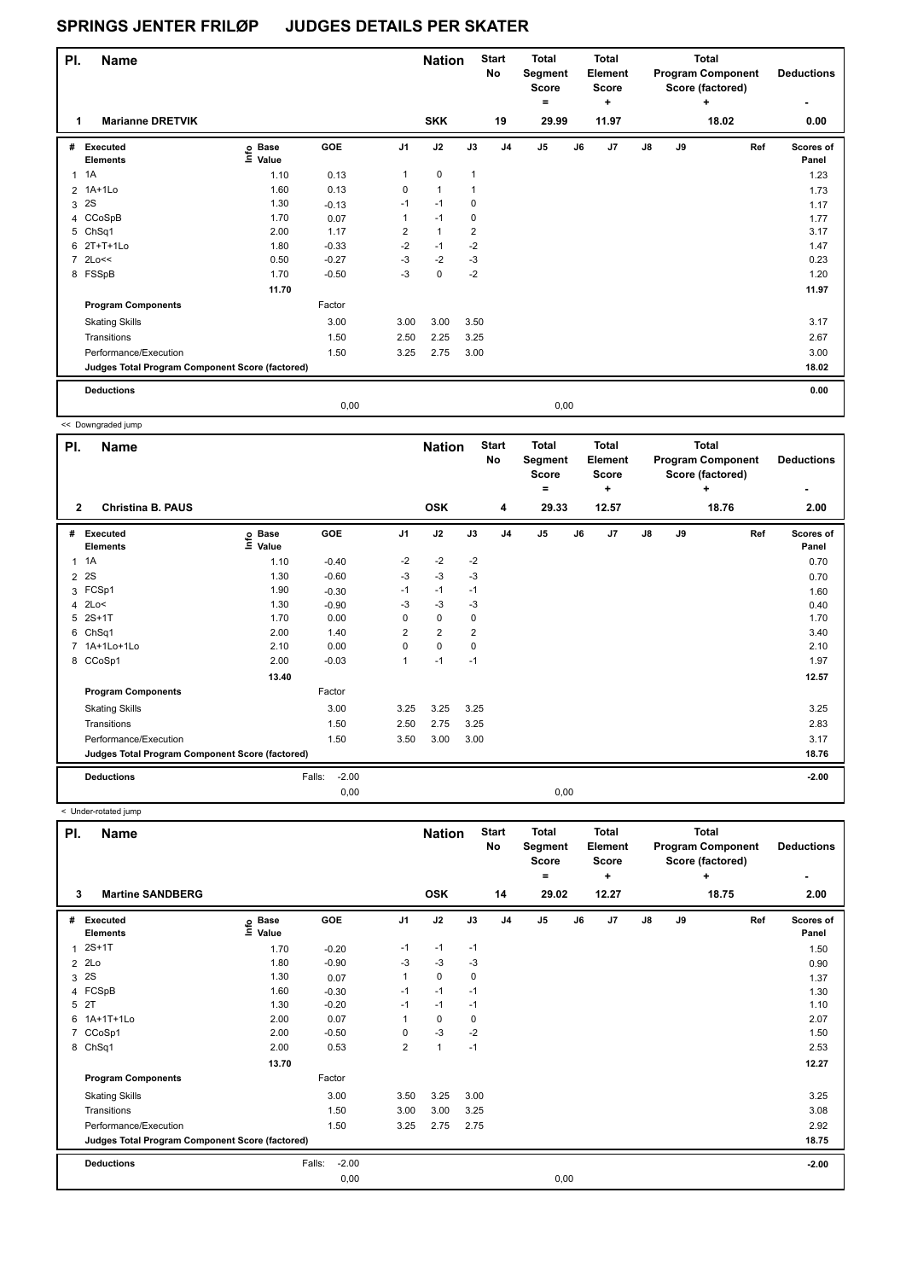| PI.            | <b>Name</b>                                     |                                  |         |                | <b>Nation</b>  |                | <b>Start</b><br>No | <b>Total</b><br>Segment<br>Score<br>٠ |      | <b>Total</b><br>Element<br><b>Score</b><br>٠ |               |    | <b>Total</b><br><b>Program Component</b><br>Score (factored)<br>٠ | <b>Deductions</b><br>۰ |
|----------------|-------------------------------------------------|----------------------------------|---------|----------------|----------------|----------------|--------------------|---------------------------------------|------|----------------------------------------------|---------------|----|-------------------------------------------------------------------|------------------------|
|                | <b>Marianne DRETVIK</b>                         |                                  |         |                | <b>SKK</b>     |                | 19                 | 29.99                                 |      | 11.97                                        |               |    | 18.02                                                             | 0.00                   |
| #              | Executed<br><b>Elements</b>                     | <b>Base</b><br>e Base<br>⊑ Value | GOE     | J1             | J2             | J3             | J <sub>4</sub>     | J <sub>5</sub>                        | J6   | J7                                           | $\mathsf{J}8$ | J9 | Ref                                                               | Scores of<br>Panel     |
| 1              | 1A                                              | 1.10                             | 0.13    | 1              | 0              | $\mathbf{1}$   |                    |                                       |      |                                              |               |    |                                                                   | 1.23                   |
|                | 2 1A+1Lo                                        | 1.60                             | 0.13    | 0              | $\overline{1}$ | 1              |                    |                                       |      |                                              |               |    |                                                                   | 1.73                   |
| 3              | 2S                                              | 1.30                             | $-0.13$ | $-1$           | $-1$           | 0              |                    |                                       |      |                                              |               |    |                                                                   | 1.17                   |
|                | 4 CCoSpB                                        | 1.70                             | 0.07    | 1              | $-1$           | 0              |                    |                                       |      |                                              |               |    |                                                                   | 1.77                   |
|                | 5 ChSq1                                         | 2.00                             | 1.17    | $\overline{2}$ | $\mathbf{1}$   | $\overline{2}$ |                    |                                       |      |                                              |               |    |                                                                   | 3.17                   |
|                | 6 2T+T+1Lo                                      | 1.80                             | $-0.33$ | $-2$           | $-1$           | $-2$           |                    |                                       |      |                                              |               |    |                                                                   | 1.47                   |
| $\overline{7}$ | 2Lo<<                                           | 0.50                             | $-0.27$ | $-3$           | $-2$           | $-3$           |                    |                                       |      |                                              |               |    |                                                                   | 0.23                   |
|                | 8 FSSpB                                         | 1.70                             | $-0.50$ | $-3$           | $\mathbf 0$    | $-2$           |                    |                                       |      |                                              |               |    |                                                                   | 1.20                   |
|                |                                                 | 11.70                            |         |                |                |                |                    |                                       |      |                                              |               |    |                                                                   | 11.97                  |
|                | <b>Program Components</b>                       |                                  | Factor  |                |                |                |                    |                                       |      |                                              |               |    |                                                                   |                        |
|                | <b>Skating Skills</b>                           |                                  | 3.00    | 3.00           | 3.00           | 3.50           |                    |                                       |      |                                              |               |    |                                                                   | 3.17                   |
|                | Transitions                                     |                                  | 1.50    | 2.50           | 2.25           | 3.25           |                    |                                       |      |                                              |               |    |                                                                   | 2.67                   |
|                | Performance/Execution                           |                                  | 1.50    | 3.25           | 2.75           | 3.00           |                    |                                       |      |                                              |               |    |                                                                   | 3.00                   |
|                | Judges Total Program Component Score (factored) |                                  |         |                |                |                |                    |                                       |      |                                              |               |    |                                                                   | 18.02                  |
|                | <b>Deductions</b>                               |                                  |         |                |                |                |                    |                                       |      |                                              |               |    |                                                                   | 0.00                   |
|                |                                                 |                                  | 0,00    |                |                |                |                    |                                       | 0,00 |                                              |               |    |                                                                   |                        |

<< Downgraded jump

ı

| PI.            | <b>Name</b>                                     |                                  |                   |                | <b>Nation</b>  |                | <b>Start</b><br>No | <b>Total</b><br>Segment<br><b>Score</b><br>۰ |    | Total<br>Element<br><b>Score</b><br>٠ |               |    | Total<br><b>Program Component</b><br>Score (factored)<br>÷ | <b>Deductions</b>  |
|----------------|-------------------------------------------------|----------------------------------|-------------------|----------------|----------------|----------------|--------------------|----------------------------------------------|----|---------------------------------------|---------------|----|------------------------------------------------------------|--------------------|
| 2              | <b>Christina B. PAUS</b>                        |                                  |                   |                | <b>OSK</b>     |                | 4                  | 29.33                                        |    | 12.57                                 |               |    | 18.76                                                      | 2.00               |
| #              | Executed<br><b>Elements</b>                     | <b>Base</b><br>e Base<br>⊆ Value | GOE               | J <sub>1</sub> | J2             | J3             | J <sub>4</sub>     | J <sub>5</sub>                               | J6 | J <sub>7</sub>                        | $\mathsf{J}8$ | J9 | Ref                                                        | Scores of<br>Panel |
| $\mathbf{1}$   | 1A                                              | 1.10                             | $-0.40$           | $-2$           | $-2$           | $-2$           |                    |                                              |    |                                       |               |    |                                                            | 0.70               |
| $\overline{2}$ | 2S                                              | 1.30                             | $-0.60$           | -3             | $-3$           | $-3$           |                    |                                              |    |                                       |               |    |                                                            | 0.70               |
| 3              | FCSp1                                           | 1.90                             | $-0.30$           | $-1$           | $-1$           | $-1$           |                    |                                              |    |                                       |               |    |                                                            | 1.60               |
| 4              | 2Lo<                                            | 1.30                             | $-0.90$           | -3             | $-3$           | $-3$           |                    |                                              |    |                                       |               |    |                                                            | 0.40               |
| 5              | $2S+1T$                                         | 1.70                             | 0.00              | 0              | $\mathbf 0$    | $\mathbf 0$    |                    |                                              |    |                                       |               |    |                                                            | 1.70               |
| 6              | Ch <sub>Sq1</sub>                               | 2.00                             | 1.40              | $\overline{2}$ | $\overline{2}$ | $\overline{2}$ |                    |                                              |    |                                       |               |    |                                                            | 3.40               |
| $\overline{7}$ | 1A+1Lo+1Lo                                      | 2.10                             | 0.00              | 0              | $\mathbf 0$    | 0              |                    |                                              |    |                                       |               |    |                                                            | 2.10               |
|                | 8 CCoSp1                                        | 2.00                             | $-0.03$           | 1              | $-1$           | $-1$           |                    |                                              |    |                                       |               |    |                                                            | 1.97               |
|                |                                                 | 13.40                            |                   |                |                |                |                    |                                              |    |                                       |               |    |                                                            | 12.57              |
|                | <b>Program Components</b>                       |                                  | Factor            |                |                |                |                    |                                              |    |                                       |               |    |                                                            |                    |
|                | <b>Skating Skills</b>                           |                                  | 3.00              | 3.25           | 3.25           | 3.25           |                    |                                              |    |                                       |               |    |                                                            | 3.25               |
|                | Transitions                                     |                                  | 1.50              | 2.50           | 2.75           | 3.25           |                    |                                              |    |                                       |               |    |                                                            | 2.83               |
|                | Performance/Execution                           |                                  | 1.50              | 3.50           | 3.00           | 3.00           |                    |                                              |    |                                       |               |    |                                                            | 3.17               |
|                | Judges Total Program Component Score (factored) |                                  |                   |                |                |                |                    |                                              |    |                                       |               |    |                                                            | 18.76              |
|                | <b>Deductions</b>                               |                                  | $-2.00$<br>Falls: |                |                |                |                    |                                              |    |                                       |               |    |                                                            | $-2.00$            |
|                |                                                 |                                  | 0,00              |                |                |                |                    | 0,00                                         |    |                                       |               |    |                                                            |                    |

< Under-rotated jump

| PI.            | <b>Name</b>                                     |                           |                   |                | <b>Nation</b>  |      | <b>Start</b><br><b>No</b> | <b>Total</b><br>Segment<br>Score<br>۰ |    | Total<br>Element<br><b>Score</b><br>÷ |               |    | Total<br><b>Program Component</b><br>Score (factored)<br>÷ | <b>Deductions</b>  |
|----------------|-------------------------------------------------|---------------------------|-------------------|----------------|----------------|------|---------------------------|---------------------------------------|----|---------------------------------------|---------------|----|------------------------------------------------------------|--------------------|
| 3              | <b>Martine SANDBERG</b>                         |                           |                   |                | <b>OSK</b>     |      | 14                        | 29.02                                 |    | 12.27                                 |               |    | 18.75                                                      | 2.00               |
| #              | <b>Executed</b><br><b>Elements</b>              | <b>Base</b><br>e<br>Value | <b>GOE</b>        | J <sub>1</sub> | J2             | J3   | J <sub>4</sub>            | J <sub>5</sub>                        | J6 | J7                                    | $\mathsf{J}8$ | J9 | Ref                                                        | Scores of<br>Panel |
|                | $2S+1T$                                         | 1.70                      | $-0.20$           | $-1$           | $-1$           | $-1$ |                           |                                       |    |                                       |               |    |                                                            | 1.50               |
| 2              | 2Lo                                             | 1.80                      | $-0.90$           | $-3$           | $-3$           | $-3$ |                           |                                       |    |                                       |               |    |                                                            | 0.90               |
| 3              | 2S                                              | 1.30                      | 0.07              | $\mathbf{1}$   | $\mathbf 0$    | 0    |                           |                                       |    |                                       |               |    |                                                            | 1.37               |
|                | 4 FCSpB                                         | 1.60                      | $-0.30$           | $-1$           | $-1$           | $-1$ |                           |                                       |    |                                       |               |    |                                                            | 1.30               |
| 5              | 2T                                              | 1.30                      | $-0.20$           | $-1$           | $-1$           | $-1$ |                           |                                       |    |                                       |               |    |                                                            | 1.10               |
| 6              | 1A+1T+1Lo                                       | 2.00                      | 0.07              | 1              | 0              | 0    |                           |                                       |    |                                       |               |    |                                                            | 2.07               |
| $\overline{7}$ | CCoSp1                                          | 2.00                      | $-0.50$           | 0              | $-3$           | $-2$ |                           |                                       |    |                                       |               |    |                                                            | 1.50               |
|                | 8 ChSq1                                         | 2.00                      | 0.53              | $\overline{2}$ | $\overline{1}$ | $-1$ |                           |                                       |    |                                       |               |    |                                                            | 2.53               |
|                |                                                 | 13.70                     |                   |                |                |      |                           |                                       |    |                                       |               |    |                                                            | 12.27              |
|                | <b>Program Components</b>                       |                           | Factor            |                |                |      |                           |                                       |    |                                       |               |    |                                                            |                    |
|                | <b>Skating Skills</b>                           |                           | 3.00              | 3.50           | 3.25           | 3.00 |                           |                                       |    |                                       |               |    |                                                            | 3.25               |
|                | Transitions                                     |                           | 1.50              | 3.00           | 3.00           | 3.25 |                           |                                       |    |                                       |               |    |                                                            | 3.08               |
|                | Performance/Execution                           |                           | 1.50              | 3.25           | 2.75           | 2.75 |                           |                                       |    |                                       |               |    |                                                            | 2.92               |
|                | Judges Total Program Component Score (factored) |                           |                   |                |                |      |                           |                                       |    |                                       |               |    |                                                            | 18.75              |
|                | <b>Deductions</b>                               |                           | $-2.00$<br>Falls: |                |                |      |                           |                                       |    |                                       |               |    |                                                            | $-2.00$            |
|                |                                                 |                           | 0,00              |                |                |      |                           | 0,00                                  |    |                                       |               |    |                                                            |                    |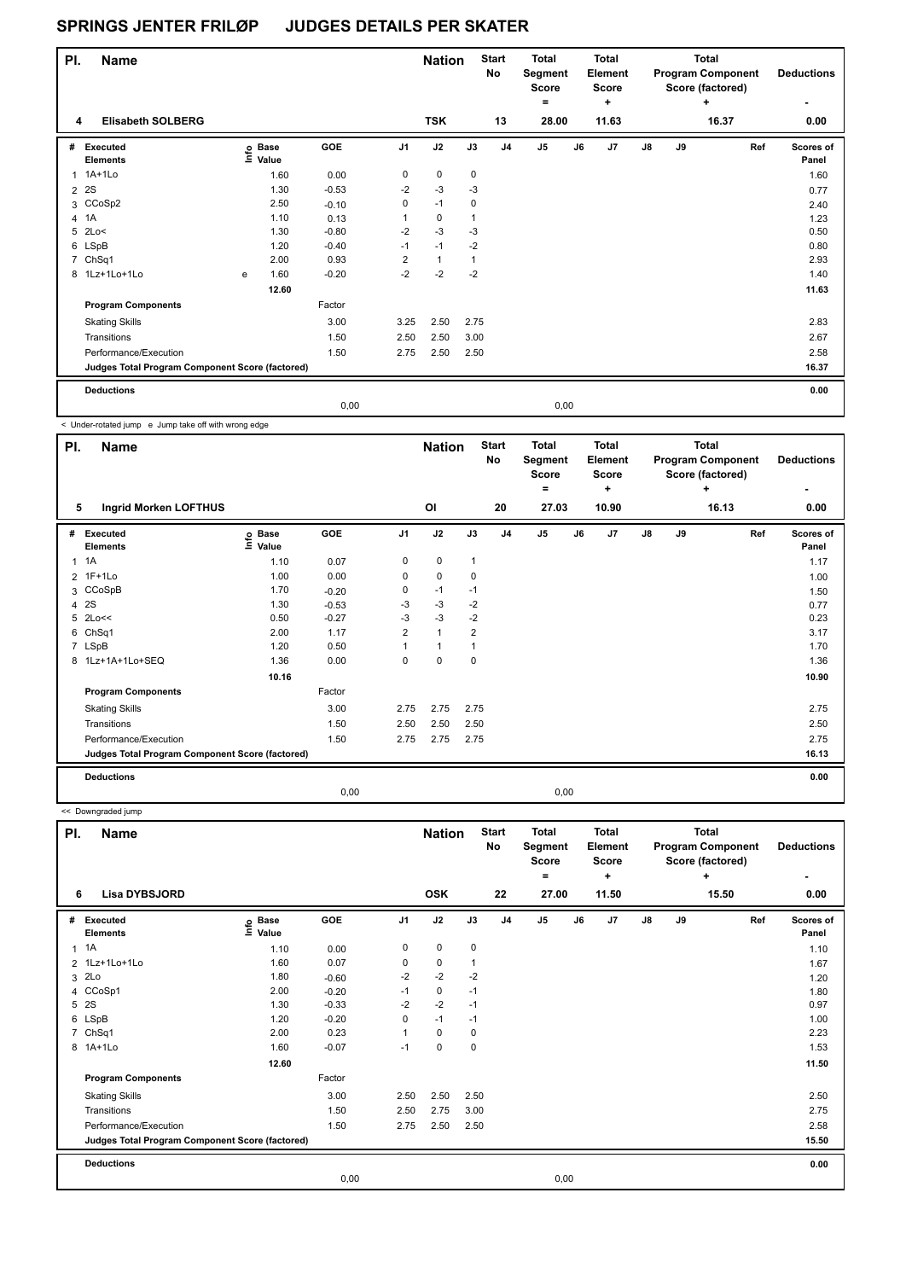| PI.            | <b>Name</b>                                     |   |                   |         |                | <b>Nation</b> |             | <b>Start</b><br>No | <b>Total</b><br>Segment<br><b>Score</b><br>۰ |      | Total<br><b>Element</b><br><b>Score</b><br>٠ |    |    | Total<br><b>Program Component</b><br>Score (factored)<br>٠ | <b>Deductions</b>  |
|----------------|-------------------------------------------------|---|-------------------|---------|----------------|---------------|-------------|--------------------|----------------------------------------------|------|----------------------------------------------|----|----|------------------------------------------------------------|--------------------|
| 4              | <b>Elisabeth SOLBERG</b>                        |   |                   |         |                | <b>TSK</b>    |             | 13                 | 28.00                                        |      | 11.63                                        |    |    | 16.37                                                      | 0.00               |
| #              | Executed<br><b>Elements</b>                     |   | e Base<br>⊑ Value | GOE     | J <sub>1</sub> | J2            | J3          | J <sub>4</sub>     | J <sub>5</sub>                               | J6   | J <sub>7</sub>                               | J8 | J9 | Ref                                                        | Scores of<br>Panel |
|                | 1 1A+1Lo                                        |   | 1.60              | 0.00    | 0              | $\mathbf 0$   | $\mathbf 0$ |                    |                                              |      |                                              |    |    |                                                            | 1.60               |
|                | 2 2 S                                           |   | 1.30              | $-0.53$ | $-2$           | $-3$          | -3          |                    |                                              |      |                                              |    |    |                                                            | 0.77               |
|                | 3 CCoSp2                                        |   | 2.50              | $-0.10$ | 0              | $-1$          | 0           |                    |                                              |      |                                              |    |    |                                                            | 2.40               |
| $\overline{4}$ | 1A                                              |   | 1.10              | 0.13    | 1              | 0             | 1           |                    |                                              |      |                                              |    |    |                                                            | 1.23               |
|                | 5 2Lo<                                          |   | 1.30              | $-0.80$ | $-2$           | $-3$          | $-3$        |                    |                                              |      |                                              |    |    |                                                            | 0.50               |
|                | 6 LSpB                                          |   | 1.20              | $-0.40$ | $-1$           | $-1$          | $-2$        |                    |                                              |      |                                              |    |    |                                                            | 0.80               |
|                | 7 ChSq1                                         |   | 2.00              | 0.93    | $\overline{2}$ | $\mathbf{1}$  | 1           |                    |                                              |      |                                              |    |    |                                                            | 2.93               |
|                | 8 1Lz+1Lo+1Lo                                   | e | 1.60              | $-0.20$ | $-2$           | $-2$          | $-2$        |                    |                                              |      |                                              |    |    |                                                            | 1.40               |
|                |                                                 |   | 12.60             |         |                |               |             |                    |                                              |      |                                              |    |    |                                                            | 11.63              |
|                | <b>Program Components</b>                       |   |                   | Factor  |                |               |             |                    |                                              |      |                                              |    |    |                                                            |                    |
|                | <b>Skating Skills</b>                           |   |                   | 3.00    | 3.25           | 2.50          | 2.75        |                    |                                              |      |                                              |    |    |                                                            | 2.83               |
|                | Transitions                                     |   |                   | 1.50    | 2.50           | 2.50          | 3.00        |                    |                                              |      |                                              |    |    |                                                            | 2.67               |
|                | Performance/Execution                           |   |                   | 1.50    | 2.75           | 2.50          | 2.50        |                    |                                              |      |                                              |    |    |                                                            | 2.58               |
|                | Judges Total Program Component Score (factored) |   |                   |         |                |               |             |                    |                                              |      |                                              |    |    |                                                            | 16.37              |
|                | <b>Deductions</b>                               |   |                   |         |                |               |             |                    |                                              |      |                                              |    |    |                                                            | 0.00               |
|                |                                                 |   |                   | 0,00    |                |               |             |                    |                                              | 0,00 |                                              |    |    |                                                            |                    |

< Under-rotated jump e Jump take off with wrong edge

| PI. | <b>Name</b>                                     |                   |            |                | <b>Nation</b>  |                | <b>Start</b><br><b>No</b> | <b>Total</b><br>Segment<br><b>Score</b><br>= |    | <b>Total</b><br>Element<br><b>Score</b><br>٠ |    |    | <b>Total</b><br><b>Program Component</b><br>Score (factored)<br>÷ | <b>Deductions</b>  |
|-----|-------------------------------------------------|-------------------|------------|----------------|----------------|----------------|---------------------------|----------------------------------------------|----|----------------------------------------------|----|----|-------------------------------------------------------------------|--------------------|
| 5   | <b>Ingrid Morken LOFTHUS</b>                    |                   |            |                | O <sub>l</sub> |                | 20                        | 27.03                                        |    | 10.90                                        |    |    | 16.13                                                             | 0.00               |
| #   | Executed<br><b>Elements</b>                     | e Base<br>⊆ Value | <b>GOE</b> | J <sub>1</sub> | J2             | J3             | J <sub>4</sub>            | J <sub>5</sub>                               | J6 | J7                                           | J8 | J9 | Ref                                                               | Scores of<br>Panel |
| 1   | 1A                                              | 1.10              | 0.07       | 0              | $\pmb{0}$      | $\mathbf{1}$   |                           |                                              |    |                                              |    |    |                                                                   | 1.17               |
|     | 2 1F+1Lo                                        | 1.00              | 0.00       | 0              | $\mathbf 0$    | 0              |                           |                                              |    |                                              |    |    |                                                                   | 1.00               |
|     | 3 CCoSpB                                        | 1.70              | $-0.20$    | 0              | $-1$           | $-1$           |                           |                                              |    |                                              |    |    |                                                                   | 1.50               |
|     | 4 2 S                                           | 1.30              | $-0.53$    | -3             | $-3$           | $-2$           |                           |                                              |    |                                              |    |    |                                                                   | 0.77               |
|     | 5 2Lo<<                                         | 0.50              | $-0.27$    | $-3$           | $-3$           | $-2$           |                           |                                              |    |                                              |    |    |                                                                   | 0.23               |
| 6   | Ch <sub>Sq1</sub>                               | 2.00              | 1.17       | $\overline{2}$ | $\mathbf{1}$   | $\overline{2}$ |                           |                                              |    |                                              |    |    |                                                                   | 3.17               |
|     | 7 LSpB                                          | 1.20              | 0.50       |                | $\overline{1}$ |                |                           |                                              |    |                                              |    |    |                                                                   | 1.70               |
|     | 8 1Lz+1A+1Lo+SEQ                                | 1.36              | 0.00       | 0              | $\mathbf 0$    | 0              |                           |                                              |    |                                              |    |    |                                                                   | 1.36               |
|     |                                                 | 10.16             |            |                |                |                |                           |                                              |    |                                              |    |    |                                                                   | 10.90              |
|     | <b>Program Components</b>                       |                   | Factor     |                |                |                |                           |                                              |    |                                              |    |    |                                                                   |                    |
|     | <b>Skating Skills</b>                           |                   | 3.00       | 2.75           | 2.75           | 2.75           |                           |                                              |    |                                              |    |    |                                                                   | 2.75               |
|     | Transitions                                     |                   | 1.50       | 2.50           | 2.50           | 2.50           |                           |                                              |    |                                              |    |    |                                                                   | 2.50               |
|     | Performance/Execution                           |                   | 1.50       | 2.75           | 2.75           | 2.75           |                           |                                              |    |                                              |    |    |                                                                   | 2.75               |
|     | Judges Total Program Component Score (factored) |                   |            |                |                |                |                           |                                              |    |                                              |    |    |                                                                   | 16.13              |
|     | <b>Deductions</b>                               |                   |            |                |                |                |                           |                                              |    |                                              |    |    |                                                                   | 0.00               |
|     |                                                 |                   | 0,00       |                |                |                |                           | 0,00                                         |    |                                              |    |    |                                                                   |                    |

<< Downgraded jump

| PI.          | <b>Name</b>                                     |                              |         |                | <b>Nation</b> |      | <b>Start</b><br>No | <b>Total</b><br>Segment<br><b>Score</b><br>$=$ |      | <b>Total</b><br>Element<br><b>Score</b><br>٠ |               |    | Total<br><b>Program Component</b><br>Score (factored)<br>٠ | <b>Deductions</b>  |
|--------------|-------------------------------------------------|------------------------------|---------|----------------|---------------|------|--------------------|------------------------------------------------|------|----------------------------------------------|---------------|----|------------------------------------------------------------|--------------------|
| 6            | <b>Lisa DYBSJORD</b>                            |                              |         |                | <b>OSK</b>    |      | 22                 | 27.00                                          |      | 11.50                                        |               |    | 15.50                                                      | 0.00               |
| #            | Executed<br><b>Elements</b>                     | <b>Base</b><br>lnfo<br>Value | GOE     | J <sub>1</sub> | J2            | J3   | J <sub>4</sub>     | J <sub>5</sub>                                 | J6   | J7                                           | $\mathsf{J}8$ | J9 | Ref                                                        | Scores of<br>Panel |
| $\mathbf{1}$ | 1A                                              | 1.10                         | 0.00    | 0              | 0             | 0    |                    |                                                |      |                                              |               |    |                                                            | 1.10               |
|              | 2 1Lz+1Lo+1Lo                                   | 1.60                         | 0.07    | 0              | $\mathbf 0$   | 1    |                    |                                                |      |                                              |               |    |                                                            | 1.67               |
| 3            | 2Lo                                             | 1.80                         | $-0.60$ | $-2$           | $-2$          | $-2$ |                    |                                                |      |                                              |               |    |                                                            | 1.20               |
|              | 4 CCoSp1                                        | 2.00                         | $-0.20$ | $-1$           | $\pmb{0}$     | $-1$ |                    |                                                |      |                                              |               |    |                                                            | 1.80               |
| 5            | 2S                                              | 1.30                         | $-0.33$ | $-2$           | $-2$          | $-1$ |                    |                                                |      |                                              |               |    |                                                            | 0.97               |
|              | 6 LSpB                                          | 1.20                         | $-0.20$ | 0              | $-1$          | $-1$ |                    |                                                |      |                                              |               |    |                                                            | 1.00               |
|              | 7 ChSq1                                         | 2.00                         | 0.23    |                | $\mathbf 0$   | 0    |                    |                                                |      |                                              |               |    |                                                            | 2.23               |
|              | 8 1A+1Lo                                        | 1.60                         | $-0.07$ | $-1$           | $\mathbf 0$   | 0    |                    |                                                |      |                                              |               |    |                                                            | 1.53               |
|              |                                                 | 12.60                        |         |                |               |      |                    |                                                |      |                                              |               |    |                                                            | 11.50              |
|              | <b>Program Components</b>                       |                              | Factor  |                |               |      |                    |                                                |      |                                              |               |    |                                                            |                    |
|              | <b>Skating Skills</b>                           |                              | 3.00    | 2.50           | 2.50          | 2.50 |                    |                                                |      |                                              |               |    |                                                            | 2.50               |
|              | Transitions                                     |                              | 1.50    | 2.50           | 2.75          | 3.00 |                    |                                                |      |                                              |               |    |                                                            | 2.75               |
|              | Performance/Execution                           |                              | 1.50    | 2.75           | 2.50          | 2.50 |                    |                                                |      |                                              |               |    |                                                            | 2.58               |
|              | Judges Total Program Component Score (factored) |                              |         |                |               |      |                    |                                                |      |                                              |               |    |                                                            | 15.50              |
|              | <b>Deductions</b>                               |                              |         |                |               |      |                    |                                                |      |                                              |               |    |                                                            | 0.00               |
|              |                                                 |                              | 0,00    |                |               |      |                    |                                                | 0,00 |                                              |               |    |                                                            |                    |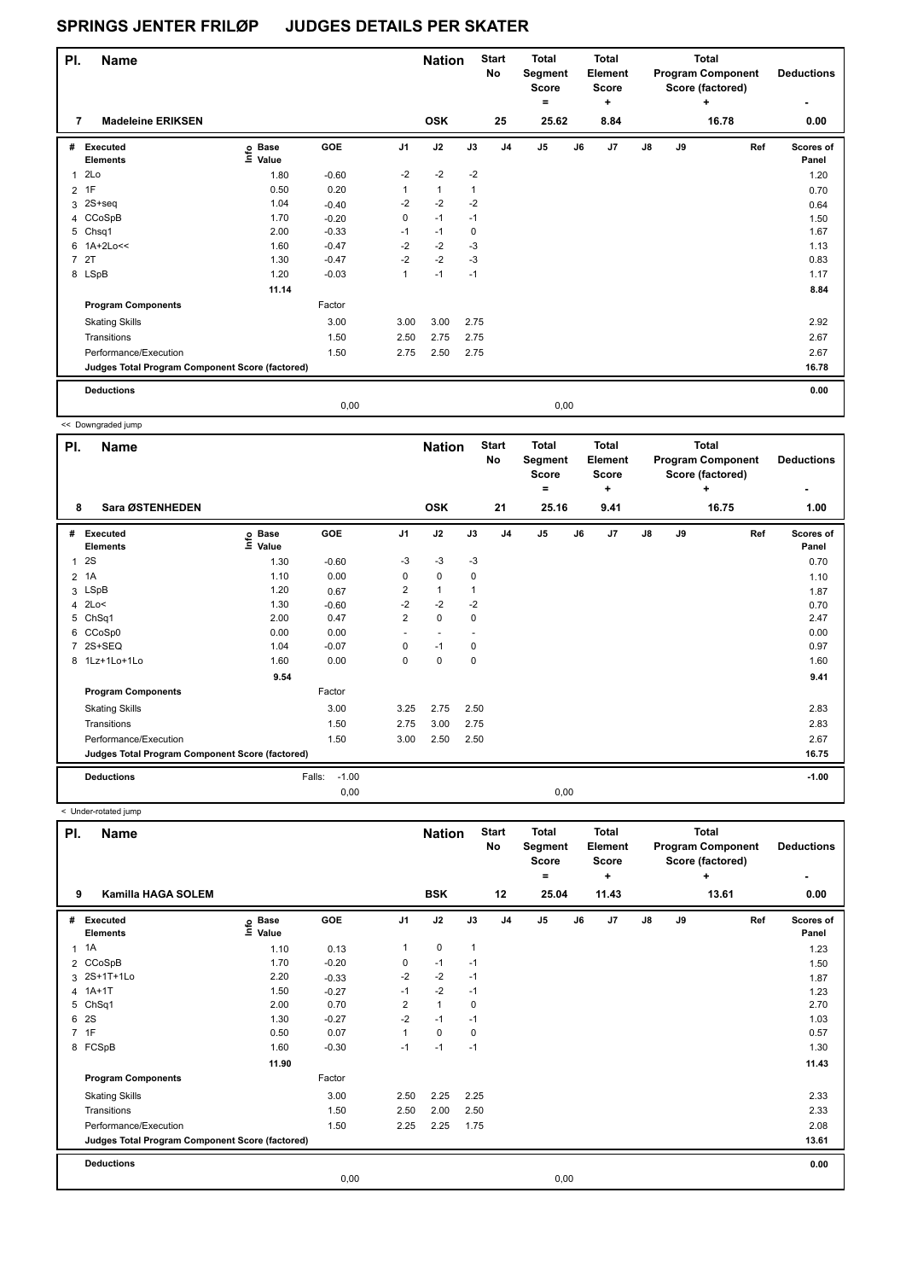| PI.            | <b>Name</b>                                     |                                  |         |                | <b>Nation</b> |             | <b>Start</b><br>No | <b>Total</b><br>Segment<br>Score<br>٠ |      | <b>Total</b><br>Element<br><b>Score</b><br>$\ddot{}$ |    |    | Total<br><b>Program Component</b><br>Score (factored)<br>٠ | <b>Deductions</b>  |
|----------------|-------------------------------------------------|----------------------------------|---------|----------------|---------------|-------------|--------------------|---------------------------------------|------|------------------------------------------------------|----|----|------------------------------------------------------------|--------------------|
| 7              | <b>Madeleine ERIKSEN</b>                        |                                  |         |                | <b>OSK</b>    |             | 25                 | 25.62                                 |      | 8.84                                                 |    |    | 16.78                                                      | 0.00               |
| #              | Executed<br><b>Elements</b>                     | <b>Base</b><br>e Base<br>⊑ Value | GOE     | J <sub>1</sub> | J2            | J3          | J <sub>4</sub>     | J <sub>5</sub>                        | J6   | J7                                                   | J8 | J9 | Ref                                                        | Scores of<br>Panel |
| 1              | 2Lo                                             | 1.80                             | $-0.60$ | $-2$           | $-2$          | $-2$        |                    |                                       |      |                                                      |    |    |                                                            | 1.20               |
| $\overline{2}$ | 1F                                              | 0.50                             | 0.20    | 1              | $\mathbf{1}$  | 1           |                    |                                       |      |                                                      |    |    |                                                            | 0.70               |
|                | 3 2S+seq                                        | 1.04                             | $-0.40$ | $-2$           | $-2$          | $-2$        |                    |                                       |      |                                                      |    |    |                                                            | 0.64               |
|                | 4 CCoSpB                                        | 1.70                             | $-0.20$ | 0              | $-1$          | $-1$        |                    |                                       |      |                                                      |    |    |                                                            | 1.50               |
|                | 5 Chsq1                                         | 2.00                             | $-0.33$ | $-1$           | $-1$          | $\mathbf 0$ |                    |                                       |      |                                                      |    |    |                                                            | 1.67               |
|                | 6 1A+2Lo<<                                      | 1.60                             | $-0.47$ | $-2$           | $-2$          | $-3$        |                    |                                       |      |                                                      |    |    |                                                            | 1.13               |
| 7              | 2T                                              | 1.30                             | $-0.47$ | $-2$           | $-2$          | $-3$        |                    |                                       |      |                                                      |    |    |                                                            | 0.83               |
|                | 8 LSpB                                          | 1.20                             | $-0.03$ | 1              | $-1$          | $-1$        |                    |                                       |      |                                                      |    |    |                                                            | 1.17               |
|                |                                                 | 11.14                            |         |                |               |             |                    |                                       |      |                                                      |    |    |                                                            | 8.84               |
|                | <b>Program Components</b>                       |                                  | Factor  |                |               |             |                    |                                       |      |                                                      |    |    |                                                            |                    |
|                | <b>Skating Skills</b>                           |                                  | 3.00    | 3.00           | 3.00          | 2.75        |                    |                                       |      |                                                      |    |    |                                                            | 2.92               |
|                | Transitions                                     |                                  | 1.50    | 2.50           | 2.75          | 2.75        |                    |                                       |      |                                                      |    |    |                                                            | 2.67               |
|                | Performance/Execution                           |                                  | 1.50    | 2.75           | 2.50          | 2.75        |                    |                                       |      |                                                      |    |    |                                                            | 2.67               |
|                | Judges Total Program Component Score (factored) |                                  |         |                |               |             |                    |                                       |      |                                                      |    |    |                                                            | 16.78              |
|                | <b>Deductions</b>                               |                                  |         |                |               |             |                    |                                       |      |                                                      |    |    |                                                            | 0.00               |
|                |                                                 |                                  | 0,00    |                |               |             |                    |                                       | 0,00 |                                                      |    |    |                                                            |                    |

<< Downgraded jump

H

| PI.            | <b>Name</b>                                     |                                  |                   |                | <b>Nation</b>            |             | <b>Start</b><br>No | <b>Total</b><br>Segment<br><b>Score</b><br>٠ |      | <b>Total</b><br>Element<br><b>Score</b><br>÷ |    |    | <b>Total</b><br><b>Program Component</b><br>Score (factored)<br>÷ | <b>Deductions</b>  |
|----------------|-------------------------------------------------|----------------------------------|-------------------|----------------|--------------------------|-------------|--------------------|----------------------------------------------|------|----------------------------------------------|----|----|-------------------------------------------------------------------|--------------------|
| 8              | Sara ØSTENHEDEN                                 |                                  |                   |                | <b>OSK</b>               |             | 21                 | 25.16                                        |      | 9.41                                         |    |    | 16.75                                                             | 1.00               |
| #              | Executed<br><b>Elements</b>                     | <b>Base</b><br>e Base<br>⊆ Value | <b>GOE</b>        | J <sub>1</sub> | J2                       | J3          | J <sub>4</sub>     | J <sub>5</sub>                               | J6   | J7                                           | J8 | J9 | Ref                                                               | Scores of<br>Panel |
| $\mathbf{1}$   | 2S                                              | 1.30                             | $-0.60$           | $-3$           | $-3$                     | $-3$        |                    |                                              |      |                                              |    |    |                                                                   | 0.70               |
| $\overline{2}$ | 1A                                              | 1.10                             | 0.00              | 0              | $\mathbf 0$              | 0           |                    |                                              |      |                                              |    |    |                                                                   | 1.10               |
|                | 3 LSpB                                          | 1.20                             | 0.67              | 2              | $\overline{1}$           |             |                    |                                              |      |                                              |    |    |                                                                   | 1.87               |
| 4              | 2Lo<                                            | 1.30                             | $-0.60$           | $-2$           | $-2$                     | $-2$        |                    |                                              |      |                                              |    |    |                                                                   | 0.70               |
| 5              | Ch <sub>Sq1</sub>                               | 2.00                             | 0.47              | $\overline{2}$ | $\mathbf 0$              | 0           |                    |                                              |      |                                              |    |    |                                                                   | 2.47               |
|                | 6 CCoSp0                                        | 0.00                             | 0.00              | ٠              | $\overline{\phantom{a}}$ |             |                    |                                              |      |                                              |    |    |                                                                   | 0.00               |
| $\overline{7}$ | 2S+SEQ                                          | 1.04                             | $-0.07$           | 0              | $-1$                     | 0           |                    |                                              |      |                                              |    |    |                                                                   | 0.97               |
|                | 8 1Lz+1Lo+1Lo                                   | 1.60                             | 0.00              | $\Omega$       | $\mathbf 0$              | $\mathbf 0$ |                    |                                              |      |                                              |    |    |                                                                   | 1.60               |
|                |                                                 | 9.54                             |                   |                |                          |             |                    |                                              |      |                                              |    |    |                                                                   | 9.41               |
|                | <b>Program Components</b>                       |                                  | Factor            |                |                          |             |                    |                                              |      |                                              |    |    |                                                                   |                    |
|                | <b>Skating Skills</b>                           |                                  | 3.00              | 3.25           | 2.75                     | 2.50        |                    |                                              |      |                                              |    |    |                                                                   | 2.83               |
|                | Transitions                                     |                                  | 1.50              | 2.75           | 3.00                     | 2.75        |                    |                                              |      |                                              |    |    |                                                                   | 2.83               |
|                | Performance/Execution                           |                                  | 1.50              | 3.00           | 2.50                     | 2.50        |                    |                                              |      |                                              |    |    |                                                                   | 2.67               |
|                | Judges Total Program Component Score (factored) |                                  |                   |                |                          |             |                    |                                              |      |                                              |    |    |                                                                   | 16.75              |
|                | <b>Deductions</b>                               |                                  | $-1.00$<br>Falls: |                |                          |             |                    |                                              |      |                                              |    |    |                                                                   | $-1.00$            |
|                |                                                 |                                  | 0,00              |                |                          |             |                    |                                              | 0,00 |                                              |    |    |                                                                   |                    |

< Under-rotated jump

| PI.            | <b>Name</b>                                     |                                  |            |                | <b>Nation</b>  |              | <b>Start</b><br><b>No</b> | <b>Total</b><br>Segment<br><b>Score</b><br>٠ |    | <b>Total</b><br>Element<br><b>Score</b><br>٠ |               |    | Total<br><b>Program Component</b><br>Score (factored)<br>÷ | <b>Deductions</b>  |
|----------------|-------------------------------------------------|----------------------------------|------------|----------------|----------------|--------------|---------------------------|----------------------------------------------|----|----------------------------------------------|---------------|----|------------------------------------------------------------|--------------------|
| 9              | <b>Kamilla HAGA SOLEM</b>                       |                                  |            |                | <b>BSK</b>     |              | 12                        | 25.04                                        |    | 11.43                                        |               |    | 13.61                                                      | 0.00               |
| #              | <b>Executed</b><br><b>Elements</b>              | <b>Base</b><br>e Base<br>⊑ Value | <b>GOE</b> | J <sub>1</sub> | J2             | J3           | J <sub>4</sub>            | J <sub>5</sub>                               | J6 | J7                                           | $\mathsf{J}8$ | J9 | Ref                                                        | Scores of<br>Panel |
| 1              | 1A                                              | 1.10                             | 0.13       | 1              | $\mathbf 0$    | $\mathbf{1}$ |                           |                                              |    |                                              |               |    |                                                            | 1.23               |
|                | 2 CCoSpB                                        | 1.70                             | $-0.20$    | 0              | $-1$           | $-1$         |                           |                                              |    |                                              |               |    |                                                            | 1.50               |
| 3              | 2S+1T+1Lo                                       | 2.20                             | $-0.33$    | $-2$           | $-2$           | $-1$         |                           |                                              |    |                                              |               |    |                                                            | 1.87               |
| $\overline{4}$ | $1A+1T$                                         | 1.50                             | $-0.27$    | $-1$           | $-2$           | $-1$         |                           |                                              |    |                                              |               |    |                                                            | 1.23               |
| 5              | Ch <sub>Sq1</sub>                               | 2.00                             | 0.70       | $\overline{2}$ | $\overline{1}$ | 0            |                           |                                              |    |                                              |               |    |                                                            | 2.70               |
| 6              | 2S                                              | 1.30                             | $-0.27$    | $-2$           | $-1$           | $-1$         |                           |                                              |    |                                              |               |    |                                                            | 1.03               |
| $\overline{7}$ | 1F                                              | 0.50                             | 0.07       | 1              | $\mathbf 0$    | 0            |                           |                                              |    |                                              |               |    |                                                            | 0.57               |
|                | 8 FCSpB                                         | 1.60                             | $-0.30$    | $-1$           | $-1$           | $-1$         |                           |                                              |    |                                              |               |    |                                                            | 1.30               |
|                |                                                 | 11.90                            |            |                |                |              |                           |                                              |    |                                              |               |    |                                                            | 11.43              |
|                | <b>Program Components</b>                       |                                  | Factor     |                |                |              |                           |                                              |    |                                              |               |    |                                                            |                    |
|                | <b>Skating Skills</b>                           |                                  | 3.00       | 2.50           | 2.25           | 2.25         |                           |                                              |    |                                              |               |    |                                                            | 2.33               |
|                | Transitions                                     |                                  | 1.50       | 2.50           | 2.00           | 2.50         |                           |                                              |    |                                              |               |    |                                                            | 2.33               |
|                | Performance/Execution                           |                                  | 1.50       | 2.25           | 2.25           | 1.75         |                           |                                              |    |                                              |               |    |                                                            | 2.08               |
|                | Judges Total Program Component Score (factored) |                                  |            |                |                |              |                           |                                              |    |                                              |               |    |                                                            | 13.61              |
|                | <b>Deductions</b>                               |                                  |            |                |                |              |                           |                                              |    |                                              |               |    |                                                            | 0.00               |
|                |                                                 |                                  | 0,00       |                |                |              |                           | 0,00                                         |    |                                              |               |    |                                                            |                    |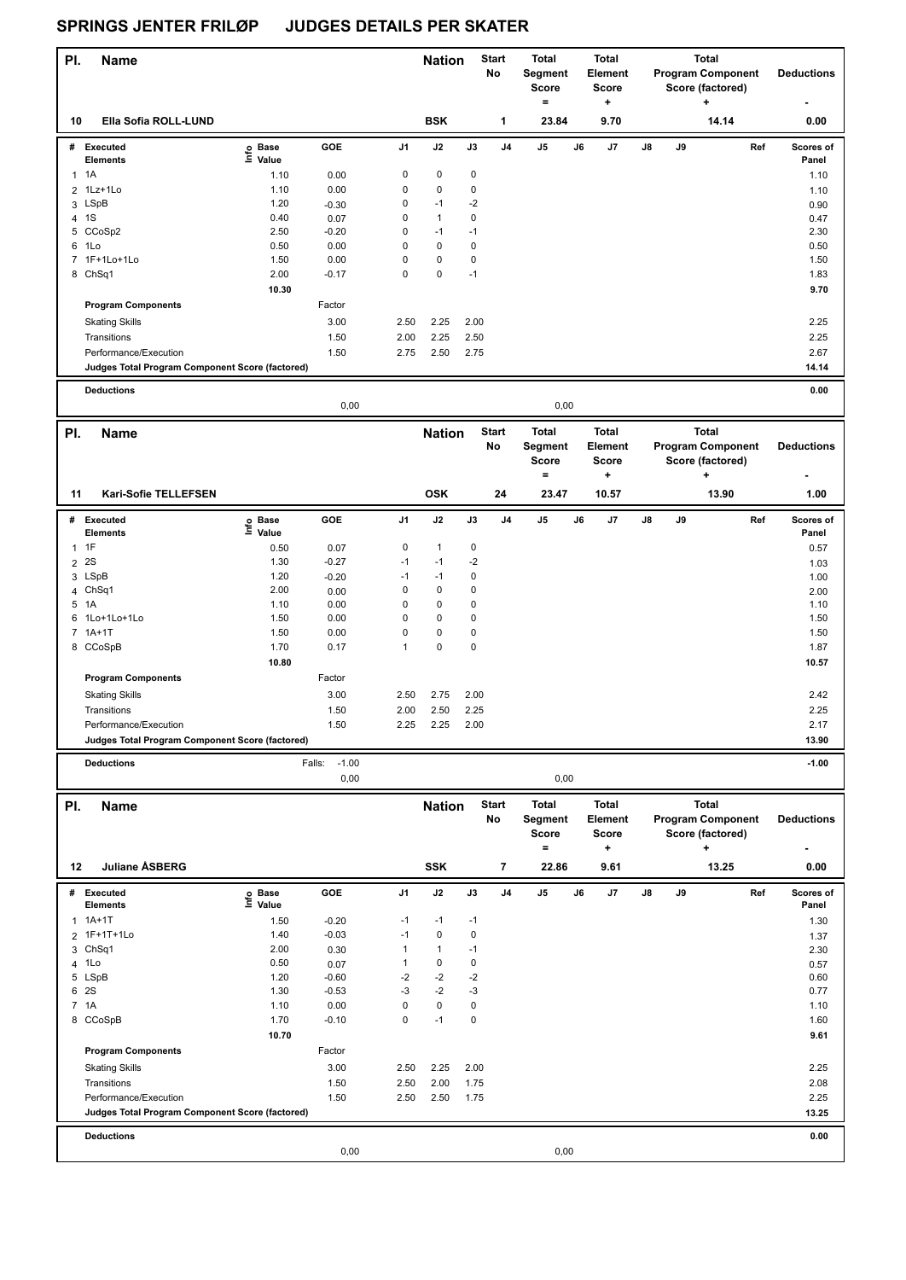| PI.            | <b>Name</b>                                                              |                   |                           |                  | <b>Nation</b>        |           | <b>Start</b><br>No | Total<br>Segment<br><b>Score</b><br>$=$ |    | <b>Total</b><br>Element<br><b>Score</b><br>$\ddot{}$ |    |    | Total<br><b>Program Component</b><br>Score (factored)<br>٠   | <b>Deductions</b>  |
|----------------|--------------------------------------------------------------------------|-------------------|---------------------------|------------------|----------------------|-----------|--------------------|-----------------------------------------|----|------------------------------------------------------|----|----|--------------------------------------------------------------|--------------------|
| 10             | Ella Sofia ROLL-LUND                                                     |                   |                           |                  | <b>BSK</b>           |           | 1                  | 23.84                                   |    | 9.70                                                 |    |    | 14.14                                                        | 0.00               |
|                | # Executed                                                               | e Base<br>⊑ Value | GOE                       | J1               | J2                   | J3        | J4                 | J5                                      | J6 | J7                                                   | J8 | J9 | Ref                                                          | Scores of          |
|                | Elements                                                                 |                   |                           |                  | $\pmb{0}$            |           |                    |                                         |    |                                                      |    |    |                                                              | Panel              |
|                | $1 \t1A$                                                                 | 1.10              | 0.00                      | $\pmb{0}$        |                      | 0         |                    |                                         |    |                                                      |    |    |                                                              | 1.10               |
|                | 2 1Lz+1Lo                                                                | 1.10              | 0.00                      | $\pmb{0}$        | 0                    | 0         |                    |                                         |    |                                                      |    |    |                                                              | 1.10               |
|                | 3 LSpB<br>4 1S                                                           | 1.20<br>0.40      | $-0.30$                   | 0<br>$\mathbf 0$ | $-1$<br>$\mathbf{1}$ | $-2$<br>0 |                    |                                         |    |                                                      |    |    |                                                              | 0.90               |
|                | 5 CCoSp2                                                                 | 2.50              | 0.07<br>$-0.20$           | $\mathbf 0$      | $-1$                 | $-1$      |                    |                                         |    |                                                      |    |    |                                                              | 0.47<br>2.30       |
|                | 6 1Lo                                                                    | 0.50              | 0.00                      | $\mathbf 0$      | $\pmb{0}$            | $\pmb{0}$ |                    |                                         |    |                                                      |    |    |                                                              | 0.50               |
|                | 7 1F+1Lo+1Lo                                                             | 1.50              | 0.00                      | $\mathbf 0$      | $\pmb{0}$            | $\pmb{0}$ |                    |                                         |    |                                                      |    |    |                                                              | 1.50               |
|                | 8 ChSq1                                                                  | 2.00              | $-0.17$                   | $\mathbf 0$      | $\pmb{0}$            | $-1$      |                    |                                         |    |                                                      |    |    |                                                              | 1.83               |
|                |                                                                          | 10.30             |                           |                  |                      |           |                    |                                         |    |                                                      |    |    |                                                              | 9.70               |
|                | <b>Program Components</b>                                                |                   | Factor                    |                  |                      |           |                    |                                         |    |                                                      |    |    |                                                              |                    |
|                |                                                                          |                   |                           |                  |                      |           |                    |                                         |    |                                                      |    |    |                                                              |                    |
|                | <b>Skating Skills</b>                                                    |                   | 3.00                      | 2.50             | 2.25                 | 2.00      |                    |                                         |    |                                                      |    |    |                                                              | 2.25               |
|                | Transitions                                                              |                   | 1.50                      | 2.00             | 2.25                 | 2.50      |                    |                                         |    |                                                      |    |    |                                                              | 2.25               |
|                | Performance/Execution                                                    |                   | 1.50                      | 2.75             | 2.50                 | 2.75      |                    |                                         |    |                                                      |    |    |                                                              | 2.67               |
|                | Judges Total Program Component Score (factored)                          |                   |                           |                  |                      |           |                    |                                         |    |                                                      |    |    |                                                              | 14.14              |
|                | <b>Deductions</b>                                                        |                   |                           |                  |                      |           |                    |                                         |    |                                                      |    |    |                                                              | 0.00               |
|                |                                                                          |                   | 0,00                      |                  |                      |           |                    | 0,00                                    |    |                                                      |    |    |                                                              |                    |
|                |                                                                          |                   |                           |                  |                      |           |                    |                                         |    |                                                      |    |    |                                                              |                    |
| PI.            | <b>Name</b>                                                              |                   |                           |                  | <b>Nation</b>        |           | <b>Start</b><br>No | <b>Total</b><br>Segment<br>Score        |    | <b>Total</b><br>Element<br>Score                     |    |    | <b>Total</b><br><b>Program Component</b><br>Score (factored) | <b>Deductions</b>  |
| 11             | Kari-Sofie TELLEFSEN                                                     |                   |                           |                  | <b>OSK</b>           |           | 24                 | =<br>23.47                              |    | +<br>10.57                                           |    |    | +<br>13.90                                                   | 1.00               |
|                | # Executed                                                               |                   | GOE                       | J1               | J2                   | J3        | J4                 | J5                                      | J6 | J7                                                   | J8 | J9 | Ref                                                          | Scores of          |
|                | Elements                                                                 | e Base<br>E Value |                           |                  |                      |           |                    |                                         |    |                                                      |    |    |                                                              | Panel              |
|                | $1$ 1F                                                                   | 0.50              | 0.07                      | 0                | $\mathbf{1}$         | 0         |                    |                                         |    |                                                      |    |    |                                                              | 0.57               |
| 2              | 2S                                                                       | 1.30              | $-0.27$                   | $-1$             | $-1$                 | $-2$      |                    |                                         |    |                                                      |    |    |                                                              | 1.03               |
|                | 3 LSpB                                                                   | 1.20              | $-0.20$                   | $-1$             | $-1$                 | 0         |                    |                                         |    |                                                      |    |    |                                                              | 1.00               |
|                | 4 ChSq1                                                                  | 2.00              | 0.00                      | 0                | 0                    | 0         |                    |                                         |    |                                                      |    |    |                                                              | 2.00               |
| 5              | 1A                                                                       | 1.10              | 0.00                      | $\mathbf 0$      | $\pmb{0}$            | 0         |                    |                                         |    |                                                      |    |    |                                                              | 1.10               |
|                | 6 1Lo+1Lo+1Lo                                                            | 1.50              | 0.00                      | 0                | $\pmb{0}$            | 0         |                    |                                         |    |                                                      |    |    |                                                              | 1.50               |
|                | 7 1A+1T                                                                  | 1.50              | 0.00                      | 0                | $\pmb{0}$            | 0         |                    |                                         |    |                                                      |    |    |                                                              | 1.50               |
|                | 8 CCoSpB                                                                 | 1.70              | 0.17                      | $\mathbf{1}$     | $\pmb{0}$            | 0         |                    |                                         |    |                                                      |    |    |                                                              | 1.87               |
|                |                                                                          | 10.80             |                           |                  |                      |           |                    |                                         |    |                                                      |    |    |                                                              | 10.57              |
|                | <b>Program Components</b>                                                |                   | Factor                    |                  |                      |           |                    |                                         |    |                                                      |    |    |                                                              |                    |
|                | <b>Skating Skills</b>                                                    |                   | 3.00                      | 2.50             | 2.75                 | 2.00      |                    |                                         |    |                                                      |    |    |                                                              | 2.42               |
|                |                                                                          |                   | 1.50                      | 2.00             | 2.50                 | 2.25      |                    |                                         |    |                                                      |    |    |                                                              | 2.25               |
|                | Transitions                                                              |                   | 1.50                      | 2.25             | 2.25                 | 2.00      |                    |                                         |    |                                                      |    |    |                                                              | 2.17               |
|                | Performance/Execution<br>Judges Total Program Component Score (factored) |                   |                           |                  |                      |           |                    |                                         |    |                                                      |    |    |                                                              |                    |
|                |                                                                          |                   |                           |                  |                      |           |                    |                                         |    |                                                      |    |    |                                                              | 13.90              |
|                | <b>Deductions</b>                                                        |                   | $-1.00$<br>Falls:<br>0,00 |                  |                      |           |                    | 0,00                                    |    |                                                      |    |    |                                                              | $-1.00$            |
|                |                                                                          |                   |                           |                  |                      |           |                    |                                         |    |                                                      |    |    |                                                              |                    |
| PI.            | <b>Name</b>                                                              |                   |                           |                  | <b>Nation</b>        |           | <b>Start</b><br>No | <b>Total</b><br>Segment<br>Score<br>$=$ |    | <b>Total</b><br>Element<br><b>Score</b>              |    |    | <b>Total</b><br><b>Program Component</b><br>Score (factored) | <b>Deductions</b>  |
| 12             | Juliane ÅSBERG                                                           |                   |                           |                  | <b>SSK</b>           |           | 7                  | 22.86                                   |    | +<br>9.61                                            |    |    | 13.25                                                        | 0.00               |
|                | # Executed<br><b>Elements</b>                                            | e Base<br>⊑ Value | GOE                       | J1               | J2                   | J3        | J4                 | J5                                      | J6 | J7                                                   | J8 | J9 | Ref                                                          | Scores of<br>Panel |
|                | $1 A+1T$                                                                 | 1.50              | $-0.20$                   | $-1$             | $-1$                 | $-1$      |                    |                                         |    |                                                      |    |    |                                                              | 1.30               |
| $\overline{2}$ | 1F+1T+1Lo                                                                | 1.40              | $-0.03$                   | $-1$             | $\pmb{0}$            | 0         |                    |                                         |    |                                                      |    |    |                                                              | 1.37               |
|                | 3 ChSq1                                                                  | 2.00              | 0.30                      | 1                | $\mathbf{1}$         | $-1$      |                    |                                         |    |                                                      |    |    |                                                              | 2.30               |
| 4              | 1Lo                                                                      | 0.50              | 0.07                      | 1                | 0                    | 0         |                    |                                         |    |                                                      |    |    |                                                              | 0.57               |
|                | 5 LSpB                                                                   | 1.20              | $-0.60$                   | $-2$             | $-2$                 | -2        |                    |                                         |    |                                                      |    |    |                                                              | 0.60               |
|                | 6 2S                                                                     | 1.30              | $-0.53$                   | -3               | $-2$                 | -3        |                    |                                         |    |                                                      |    |    |                                                              | 0.77               |
|                | 7 1A                                                                     | 1.10              | 0.00                      | $\mathbf 0$      | 0                    | 0         |                    |                                         |    |                                                      |    |    |                                                              | 1.10               |
|                | 8 CCoSpB                                                                 | 1.70              | $-0.10$                   | $\mathbf 0$      | $-1$                 | 0         |                    |                                         |    |                                                      |    |    |                                                              | 1.60               |
|                |                                                                          | 10.70             |                           |                  |                      |           |                    |                                         |    |                                                      |    |    |                                                              | 9.61               |
|                | <b>Program Components</b>                                                |                   | Factor                    |                  |                      |           |                    |                                         |    |                                                      |    |    |                                                              |                    |
|                | <b>Skating Skills</b>                                                    |                   | 3.00                      | 2.50             | 2.25                 | 2.00      |                    |                                         |    |                                                      |    |    |                                                              | 2.25               |
|                | Transitions                                                              |                   | 1.50                      | 2.50             | 2.00                 | 1.75      |                    |                                         |    |                                                      |    |    |                                                              | 2.08               |
|                | Performance/Execution                                                    |                   | 1.50                      | 2.50             | 2.50                 | 1.75      |                    |                                         |    |                                                      |    |    |                                                              | 2.25               |
|                | Judges Total Program Component Score (factored)                          |                   |                           |                  |                      |           |                    |                                         |    |                                                      |    |    |                                                              | 13.25              |
|                | <b>Deductions</b>                                                        |                   |                           |                  |                      |           |                    |                                         |    |                                                      |    |    |                                                              | 0.00               |
|                |                                                                          |                   | 0,00                      |                  |                      |           |                    | 0,00                                    |    |                                                      |    |    |                                                              |                    |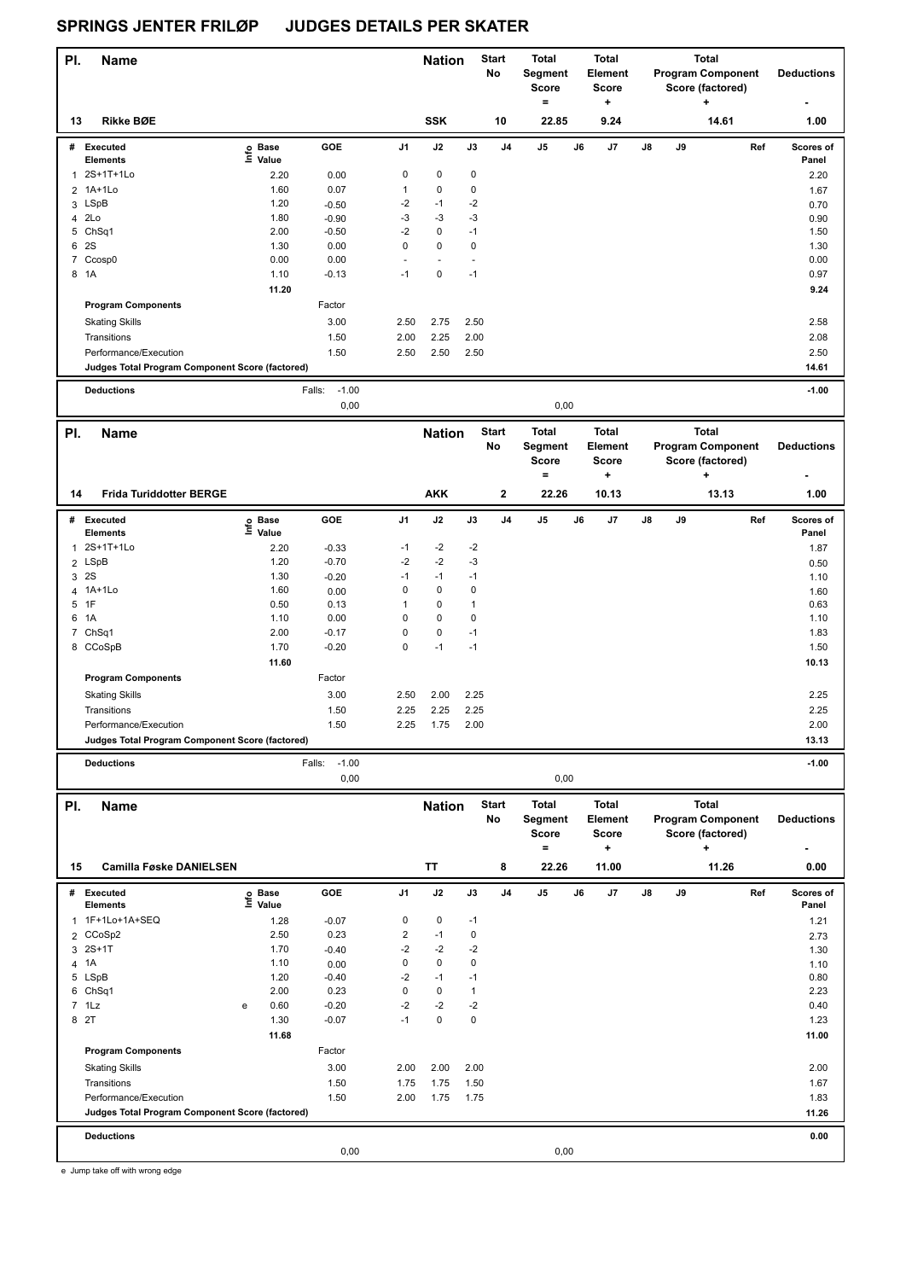| PI. | <b>Name</b>                                     |                                   |                           |                         | <b>Nation</b>     |                        | <b>Start</b><br>No | Total<br><b>Segment</b><br><b>Score</b><br>$=$ |    | <b>Total</b><br>Element<br><b>Score</b><br>÷   |    |    | <b>Total</b><br><b>Program Component</b><br>Score (factored)<br>۰. | <b>Deductions</b> |
|-----|-------------------------------------------------|-----------------------------------|---------------------------|-------------------------|-------------------|------------------------|--------------------|------------------------------------------------|----|------------------------------------------------|----|----|--------------------------------------------------------------------|-------------------|
| 13  | Rikke BØE                                       |                                   |                           |                         | <b>SSK</b>        |                        | 10                 | 22.85                                          |    | 9.24                                           |    |    | 14.61                                                              | 1.00              |
|     | # Executed                                      | e Base<br>E Value                 | GOE                       | J1                      | J2                | J3                     | J <sub>4</sub>     | J5                                             | J6 | J7                                             | J8 | J9 | Ref                                                                | Scores of         |
|     | <b>Elements</b><br>2S+1T+1Lo                    |                                   |                           | $\pmb{0}$               | $\mathbf 0$       |                        |                    |                                                |    |                                                |    |    |                                                                    | Panel             |
| 1   | 2 1A+1Lo                                        | 2.20<br>1.60                      | 0.00<br>0.07              | $\mathbf{1}$            | $\pmb{0}$         | $\pmb{0}$<br>$\pmb{0}$ |                    |                                                |    |                                                |    |    |                                                                    | 2.20              |
|     |                                                 | 1.20                              |                           | -2                      | $-1$              | $-2$                   |                    |                                                |    |                                                |    |    |                                                                    | 1.67              |
|     | 3 LSpB<br>4 2Lo                                 | 1.80                              | $-0.50$<br>$-0.90$        | -3                      | $-3$              | $-3$                   |                    |                                                |    |                                                |    |    |                                                                    | 0.70              |
|     | 5 ChSq1                                         | 2.00                              | $-0.50$                   | $-2$                    | 0                 | $-1$                   |                    |                                                |    |                                                |    |    |                                                                    | 0.90<br>1.50      |
|     | 6 2S                                            | 1.30                              | 0.00                      | $\pmb{0}$               | 0                 | $\pmb{0}$              |                    |                                                |    |                                                |    |    |                                                                    | 1.30              |
|     | 7 Ccosp0                                        | 0.00                              | 0.00                      | L,                      | $\overline{a}$    | L,                     |                    |                                                |    |                                                |    |    |                                                                    | 0.00              |
|     | 8 1A                                            | 1.10                              | $-0.13$                   | $-1$                    | $\mathbf 0$       | $-1$                   |                    |                                                |    |                                                |    |    |                                                                    | 0.97              |
|     |                                                 | 11.20                             |                           |                         |                   |                        |                    |                                                |    |                                                |    |    |                                                                    | 9.24              |
|     | <b>Program Components</b>                       |                                   | Factor                    |                         |                   |                        |                    |                                                |    |                                                |    |    |                                                                    |                   |
|     | <b>Skating Skills</b>                           |                                   | 3.00                      | 2.50                    | 2.75              | 2.50                   |                    |                                                |    |                                                |    |    |                                                                    | 2.58              |
|     | Transitions                                     |                                   | 1.50                      | 2.00                    | 2.25              | 2.00                   |                    |                                                |    |                                                |    |    |                                                                    | 2.08              |
|     | Performance/Execution                           |                                   | 1.50                      | 2.50                    | 2.50              | 2.50                   |                    |                                                |    |                                                |    |    |                                                                    | 2.50              |
|     | Judges Total Program Component Score (factored) |                                   |                           |                         |                   |                        |                    |                                                |    |                                                |    |    |                                                                    | 14.61             |
|     |                                                 |                                   |                           |                         |                   |                        |                    |                                                |    |                                                |    |    |                                                                    |                   |
|     | <b>Deductions</b>                               |                                   | $-1.00$<br>Falls:<br>0,00 |                         |                   |                        |                    | 0,00                                           |    |                                                |    |    |                                                                    | $-1.00$           |
|     |                                                 |                                   |                           |                         |                   |                        |                    |                                                |    |                                                |    |    |                                                                    |                   |
| PI. | <b>Name</b>                                     |                                   |                           |                         | <b>Nation</b>     |                        | <b>Start</b><br>No | <b>Total</b><br>Segment<br>Score               |    | <b>Total</b><br><b>Element</b><br><b>Score</b> |    |    | <b>Total</b><br><b>Program Component</b><br>Score (factored)       | <b>Deductions</b> |
| 14  | <b>Frida Turiddotter BERGE</b>                  |                                   |                           |                         | <b>AKK</b>        |                        | 2                  | $=$<br>22.26                                   |    | ÷<br>10.13                                     |    |    | +<br>13.13                                                         | 1.00              |
|     | # Executed                                      | $\overset{\circ}{\text{E}}$ Value | GOE                       | J1                      | J2                | J3                     | J4                 | J5                                             | J6 | J7                                             | J8 | J9 | Ref                                                                | Scores of         |
|     | <b>Elements</b>                                 |                                   |                           |                         |                   |                        |                    |                                                |    |                                                |    |    |                                                                    | Panel             |
| 1   | 2S+1T+1Lo                                       | 2.20                              | $-0.33$                   | $-1$                    | $-2$              | $-2$                   |                    |                                                |    |                                                |    |    |                                                                    | 1.87              |
|     | 2 LSpB                                          | 1.20                              | $-0.70$                   | -2                      | $-2$              | $-3$                   |                    |                                                |    |                                                |    |    |                                                                    | 0.50              |
|     | 3 2S                                            | 1.30                              | $-0.20$                   | $-1$                    | $-1$              | $-1$                   |                    |                                                |    |                                                |    |    |                                                                    | 1.10              |
|     | 4 1A+1Lo                                        | 1.60                              | 0.00                      | $\pmb{0}$               | 0                 | $\pmb{0}$              |                    |                                                |    |                                                |    |    |                                                                    | 1.60              |
| 5   | 1F                                              | 0.50                              | 0.13                      | $\mathbf{1}$            | 0                 | $\mathbf{1}$           |                    |                                                |    |                                                |    |    |                                                                    | 0.63              |
|     | 6 1A                                            | 1.10                              | 0.00                      | $\mathbf 0$             | $\mathbf 0$       | $\mathbf 0$            |                    |                                                |    |                                                |    |    |                                                                    | 1.10              |
|     | 7 ChSq1                                         | 2.00<br>1.70                      | $-0.17$<br>$-0.20$        | 0<br>0                  | $\pmb{0}$<br>$-1$ | $-1$<br>$-1$           |                    |                                                |    |                                                |    |    |                                                                    | 1.83<br>1.50      |
|     | 8 CCoSpB                                        |                                   |                           |                         |                   |                        |                    |                                                |    |                                                |    |    |                                                                    |                   |
|     | <b>Program Components</b>                       | 11.60                             | Factor                    |                         |                   |                        |                    |                                                |    |                                                |    |    |                                                                    | 10.13             |
|     |                                                 |                                   |                           |                         |                   |                        |                    |                                                |    |                                                |    |    |                                                                    |                   |
|     | <b>Skating Skills</b>                           |                                   | 3.00                      | 2.50                    | 2.00              | 2.25                   |                    |                                                |    |                                                |    |    |                                                                    | 2.25              |
|     | Transitions                                     |                                   | 1.50                      | 2.25                    | 2.25              | 2.25                   |                    |                                                |    |                                                |    |    |                                                                    | 2.25              |
|     | Performance/Execution                           |                                   | 1.50                      | 2.25                    | 1.75              | 2.00                   |                    |                                                |    |                                                |    |    |                                                                    | 2.00              |
|     | Judges Total Program Component Score (factored) |                                   |                           |                         |                   |                        |                    |                                                |    |                                                |    |    |                                                                    | 13.13             |
|     | <b>Deductions</b>                               |                                   | $-1.00$<br>Falls:<br>0,00 |                         |                   |                        |                    | 0,00                                           |    |                                                |    |    |                                                                    | $-1.00$           |
|     |                                                 |                                   |                           |                         |                   |                        | <b>Start</b>       | <b>Total</b>                                   |    | <b>Total</b>                                   |    |    | Total                                                              |                   |
| PI. | <b>Name</b>                                     |                                   |                           |                         | <b>Nation</b>     |                        | No                 | Segment<br>Score<br>$=$                        |    | Element<br><b>Score</b><br>÷                   |    |    | <b>Program Component</b><br>Score (factored)<br>٠                  | <b>Deductions</b> |
| 15  | <b>Camilla Føske DANIELSEN</b>                  |                                   |                           |                         | TT                |                        | 8                  | 22.26                                          |    | 11.00                                          |    |    | 11.26                                                              | 0.00              |
|     | # Executed                                      | e Base<br>⊑ Value                 | GOE                       | J1                      | J2                | J3                     | J4                 | J5                                             | J6 | J7                                             | J8 | J9 | Ref                                                                | Scores of         |
|     | <b>Elements</b><br>1 1F+1Lo+1A+SEQ              |                                   |                           | 0                       | $\pmb{0}$         | -1                     |                    |                                                |    |                                                |    |    |                                                                    | Panel             |
|     | 2 CCoSp2                                        | 1.28<br>2.50                      | $-0.07$<br>0.23           | $\overline{\mathbf{c}}$ | $-1$              | $\pmb{0}$              |                    |                                                |    |                                                |    |    |                                                                    | 1.21              |
|     | $3 \t2S+1T$                                     | 1.70                              | $-0.40$                   | $-2$                    | $-2$              | $-2$                   |                    |                                                |    |                                                |    |    |                                                                    | 2.73<br>1.30      |
|     | 4 1A                                            | 1.10                              | 0.00                      | 0                       | 0                 | $\pmb{0}$              |                    |                                                |    |                                                |    |    |                                                                    | 1.10              |
|     | 5 LSpB                                          | 1.20                              | $-0.40$                   | $-2$                    | $-1$              | $-1$                   |                    |                                                |    |                                                |    |    |                                                                    | 0.80              |
|     | 6 ChSq1                                         | 2.00                              | 0.23                      | 0                       | 0                 | $\mathbf{1}$           |                    |                                                |    |                                                |    |    |                                                                    | 2.23              |
|     | $7$ 1 Lz                                        | 0.60<br>e                         | $-0.20$                   | $-2$                    | $-2$              | $-2$                   |                    |                                                |    |                                                |    |    |                                                                    | 0.40              |
|     | 8 2T                                            | 1.30                              | $-0.07$                   | $-1$                    | 0                 | $\pmb{0}$              |                    |                                                |    |                                                |    |    |                                                                    | 1.23              |
|     |                                                 | 11.68                             |                           |                         |                   |                        |                    |                                                |    |                                                |    |    |                                                                    | 11.00             |
|     | <b>Program Components</b>                       |                                   | Factor                    |                         |                   |                        |                    |                                                |    |                                                |    |    |                                                                    |                   |
|     | <b>Skating Skills</b>                           |                                   | 3.00                      | 2.00                    | 2.00              | 2.00                   |                    |                                                |    |                                                |    |    |                                                                    | 2.00              |
|     | Transitions                                     |                                   | 1.50                      | 1.75                    | 1.75              | 1.50                   |                    |                                                |    |                                                |    |    |                                                                    | 1.67              |
|     | Performance/Execution                           |                                   | 1.50                      | 2.00                    | 1.75              | 1.75                   |                    |                                                |    |                                                |    |    |                                                                    | 1.83              |
|     | Judges Total Program Component Score (factored) |                                   |                           |                         |                   |                        |                    |                                                |    |                                                |    |    |                                                                    | 11.26             |
|     | <b>Deductions</b>                               |                                   | 0,00                      |                         |                   |                        |                    | 0,00                                           |    |                                                |    |    |                                                                    | 0.00              |
|     |                                                 |                                   |                           |                         |                   |                        |                    |                                                |    |                                                |    |    |                                                                    |                   |

e Jump take off with wrong edge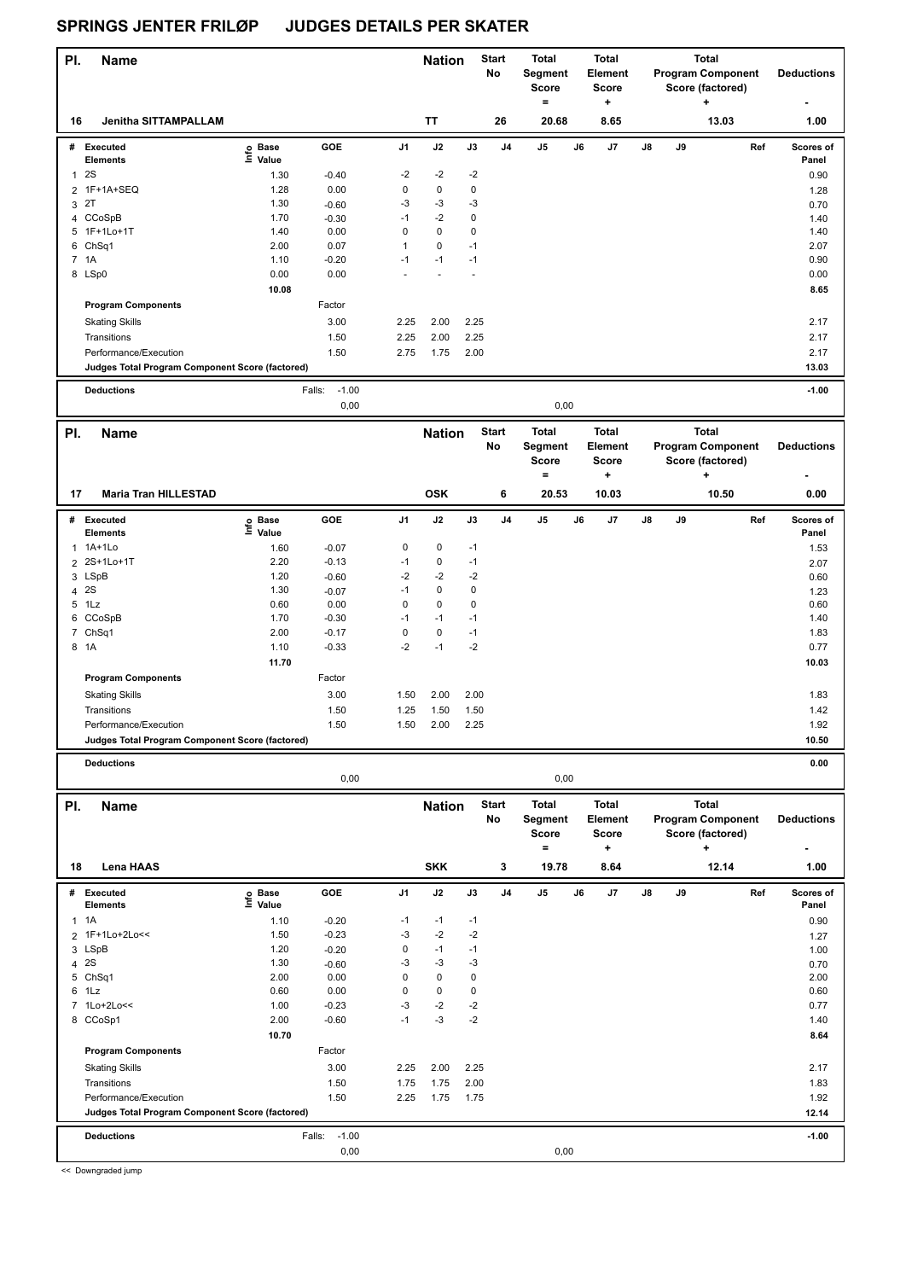| PI.          | <b>Name</b>                                     |                   |                   |                 | <b>Nation</b> |              | <b>Start</b><br><b>No</b> | <b>Total</b><br>Segment<br><b>Score</b><br>$\equiv$ |    | Total<br><b>Element</b><br><b>Score</b><br>$\ddot{}$ |    |    | <b>Total</b><br><b>Program Component</b><br>Score (factored)      | <b>Deductions</b>  |
|--------------|-------------------------------------------------|-------------------|-------------------|-----------------|---------------|--------------|---------------------------|-----------------------------------------------------|----|------------------------------------------------------|----|----|-------------------------------------------------------------------|--------------------|
| 16           | <b>Jenitha SITTAMPALLAM</b>                     |                   |                   |                 | <b>TT</b>     |              | 26                        | 20.68                                               |    | 8.65                                                 |    |    | 13.03                                                             | 1.00               |
| #            | Executed<br><b>Elements</b>                     | e Base<br>⊑ Value | GOE               | J1              | J2            | J3           | J4                        | J5                                                  | J6 | J7                                                   | J8 | J9 | Ref                                                               | Scores of<br>Panel |
|              | <b>2S</b>                                       |                   |                   | $-2$            | $-2$          | $-2$         |                           |                                                     |    |                                                      |    |    |                                                                   |                    |
| $\mathbf{1}$ | 2 1F+1A+SEQ                                     | 1.30<br>1.28      | $-0.40$<br>0.00   | $\mathbf 0$     | 0             | 0            |                           |                                                     |    |                                                      |    |    |                                                                   | 0.90               |
|              | 3 2T                                            | 1.30              | $-0.60$           | -3              | $-3$          | -3           |                           |                                                     |    |                                                      |    |    |                                                                   | 1.28<br>0.70       |
|              | 4 CCoSpB                                        | 1.70              | $-0.30$           | $-1$            | $-2$          | $\pmb{0}$    |                           |                                                     |    |                                                      |    |    |                                                                   | 1.40               |
|              | 5 1F+1Lo+1T                                     | 1.40              | 0.00              | $\mathbf 0$     | $\pmb{0}$     | 0            |                           |                                                     |    |                                                      |    |    |                                                                   | 1.40               |
| 6            | ChSq1                                           | 2.00              | 0.07              | $\mathbf{1}$    | $\pmb{0}$     | $-1$         |                           |                                                     |    |                                                      |    |    |                                                                   | 2.07               |
|              | 7 1A                                            | 1.10              | $-0.20$           | $-1$            | $-1$          | $-1$         |                           |                                                     |    |                                                      |    |    |                                                                   | 0.90               |
|              | 8 LSp0                                          | 0.00              | 0.00              |                 | L             | L,           |                           |                                                     |    |                                                      |    |    |                                                                   | 0.00               |
|              |                                                 | 10.08             |                   |                 |               |              |                           |                                                     |    |                                                      |    |    |                                                                   | 8.65               |
|              | <b>Program Components</b>                       |                   | Factor            |                 |               |              |                           |                                                     |    |                                                      |    |    |                                                                   |                    |
|              | <b>Skating Skills</b>                           |                   | 3.00              | 2.25            | 2.00          | 2.25         |                           |                                                     |    |                                                      |    |    |                                                                   | 2.17               |
|              | Transitions                                     |                   | 1.50              | 2.25            | 2.00          | 2.25         |                           |                                                     |    |                                                      |    |    |                                                                   | 2.17               |
|              | Performance/Execution                           |                   | 1.50              | 2.75            | 1.75          | 2.00         |                           |                                                     |    |                                                      |    |    |                                                                   | 2.17               |
|              | Judges Total Program Component Score (factored) |                   |                   |                 |               |              |                           |                                                     |    |                                                      |    |    |                                                                   | 13.03              |
|              |                                                 |                   |                   |                 |               |              |                           |                                                     |    |                                                      |    |    |                                                                   |                    |
|              | <b>Deductions</b>                               |                   | $-1.00$<br>Falls: |                 |               |              |                           |                                                     |    |                                                      |    |    |                                                                   | $-1.00$            |
|              |                                                 |                   | 0,00              |                 |               |              |                           | 0,00                                                |    |                                                      |    |    |                                                                   |                    |
| PI.          | <b>Name</b>                                     |                   |                   |                 | <b>Nation</b> |              | <b>Start</b><br>No        | <b>Total</b><br>Segment<br><b>Score</b>             |    | <b>Total</b><br>Element<br>Score                     |    |    | <b>Total</b><br><b>Program Component</b><br>Score (factored)      | <b>Deductions</b>  |
| 17           | <b>Maria Tran HILLESTAD</b>                     |                   |                   |                 | <b>OSK</b>    |              | 6                         | $=$<br>20.53                                        |    | $\ddot{}$<br>10.03                                   |    |    | ٠<br>10.50                                                        | 0.00               |
| #            | <b>Executed</b>                                 |                   | GOE               | J1              | J2            | J3           | J4                        | J5                                                  | J6 | J7                                                   | J8 | J9 | Ref                                                               | Scores of          |
|              | <b>Elements</b>                                 | e Base<br>E Value |                   |                 |               |              |                           |                                                     |    |                                                      |    |    |                                                                   | Panel              |
|              | 1 1A+1Lo                                        | 1.60              | $-0.07$           | $\pmb{0}$       | $\pmb{0}$     | $-1$         |                           |                                                     |    |                                                      |    |    |                                                                   | 1.53               |
|              | 2 2S+1Lo+1T                                     | 2.20              | $-0.13$           | $-1$            | $\pmb{0}$     | $-1$         |                           |                                                     |    |                                                      |    |    |                                                                   | 2.07               |
|              | 3 LSpB                                          | 1.20              | $-0.60$           | $-2$            | $-2$          | $-2$         |                           |                                                     |    |                                                      |    |    |                                                                   | 0.60               |
|              | 4 2S                                            | 1.30              | $-0.07$           | $-1$            | $\pmb{0}$     | 0            |                           |                                                     |    |                                                      |    |    |                                                                   | 1.23               |
|              | 5 1Lz                                           | 0.60              | 0.00              | $\pmb{0}$       | $\pmb{0}$     | 0            |                           |                                                     |    |                                                      |    |    |                                                                   | 0.60               |
|              | 6 CCoSpB                                        | 1.70              | $-0.30$           | $-1$            | $-1$          | $-1$         |                           |                                                     |    |                                                      |    |    |                                                                   | 1.40               |
|              | 7 ChSq1                                         | 2.00              | $-0.17$           | $\mathbf 0$     | $\pmb{0}$     | $-1$         |                           |                                                     |    |                                                      |    |    |                                                                   | 1.83               |
|              | 8 1A                                            | 1.10              | $-0.33$           | $-2$            | $-1$          | $-2$         |                           |                                                     |    |                                                      |    |    |                                                                   | 0.77               |
|              |                                                 | 11.70             |                   |                 |               |              |                           |                                                     |    |                                                      |    |    |                                                                   | 10.03              |
|              | <b>Program Components</b>                       |                   | Factor            |                 |               |              |                           |                                                     |    |                                                      |    |    |                                                                   |                    |
|              | <b>Skating Skills</b>                           |                   | 3.00              | 1.50            | 2.00          | 2.00         |                           |                                                     |    |                                                      |    |    |                                                                   | 1.83               |
|              | Transitions                                     |                   | 1.50              | 1.25            | 1.50          | 1.50         |                           |                                                     |    |                                                      |    |    |                                                                   | 1.42               |
|              | Performance/Execution                           |                   | 1.50              | 1.50            | 2.00          | 2.25         |                           |                                                     |    |                                                      |    |    |                                                                   | 1.92               |
|              | Judges Total Program Component Score (factored) |                   |                   |                 |               |              |                           |                                                     |    |                                                      |    |    |                                                                   | 10.50              |
|              |                                                 |                   |                   |                 |               |              |                           |                                                     |    |                                                      |    |    |                                                                   |                    |
|              | <b>Deductions</b>                               |                   | 0,00              |                 |               |              |                           | 0,00                                                |    |                                                      |    |    |                                                                   | 0.00               |
|              |                                                 |                   |                   |                 |               |              |                           |                                                     |    |                                                      |    |    |                                                                   |                    |
| PI.          | <b>Name</b>                                     |                   |                   |                 | <b>Nation</b> |              | <b>Start</b><br>No        | Total<br>Segment<br>Score<br>$=$                    |    | <b>Total</b><br>Element<br>Score<br>$\ddot{}$        |    |    | <b>Total</b><br><b>Program Component</b><br>Score (factored)<br>٠ | <b>Deductions</b>  |
| 18           | Lena HAAS                                       |                   |                   |                 | <b>SKK</b>    |              | 3                         | 19.78                                               |    | 8.64                                                 |    |    | 12.14                                                             | 1.00               |
|              | # Executed                                      | e Base<br>⊑ Value | GOE               | J1              | J2            | J3           | J4                        | J5                                                  | J6 | J7                                                   | J8 | J9 | Ref                                                               | Scores of          |
|              | <b>Elements</b>                                 |                   |                   |                 |               |              |                           |                                                     |    |                                                      |    |    |                                                                   | Panel              |
|              | $1 \t1A$                                        | 1.10              | $-0.20$           | -1              | $-1$          | $-1$         |                           |                                                     |    |                                                      |    |    |                                                                   | 0.90               |
|              | 2 1F+1Lo+2Lo<<                                  | 1.50              | $-0.23$           | -3              | $-2$          | $-2$         |                           |                                                     |    |                                                      |    |    |                                                                   | 1.27               |
| 3            | LSpB                                            | 1.20<br>1.30      | $-0.20$           | $\pmb{0}$<br>-3 | $-1$<br>$-3$  | $-1$<br>$-3$ |                           |                                                     |    |                                                      |    |    |                                                                   | 1.00               |
|              | 4 2S<br>5 ChSq1                                 | 2.00              | $-0.60$<br>0.00   | $\mathbf 0$     | $\pmb{0}$     | 0            |                           |                                                     |    |                                                      |    |    |                                                                   | 0.70<br>2.00       |
|              | 6 1Lz                                           | 0.60              | 0.00              | $\mathbf 0$     | $\pmb{0}$     | 0            |                           |                                                     |    |                                                      |    |    |                                                                   | 0.60               |
|              | 7 1Lo+2Lo<<                                     | 1.00              | $-0.23$           | -3              | $-2$          | $-2$         |                           |                                                     |    |                                                      |    |    |                                                                   | 0.77               |
|              | 8 CCoSp1                                        | 2.00              | $-0.60$           | $-1$            | $-3$          | -2           |                           |                                                     |    |                                                      |    |    |                                                                   | 1.40               |
|              |                                                 | 10.70             |                   |                 |               |              |                           |                                                     |    |                                                      |    |    |                                                                   | 8.64               |
|              | <b>Program Components</b>                       |                   | Factor            |                 |               |              |                           |                                                     |    |                                                      |    |    |                                                                   |                    |
|              | <b>Skating Skills</b>                           |                   | 3.00              | 2.25            | 2.00          | 2.25         |                           |                                                     |    |                                                      |    |    |                                                                   | 2.17               |
|              | Transitions                                     |                   | 1.50              | 1.75            | 1.75          | 2.00         |                           |                                                     |    |                                                      |    |    |                                                                   | 1.83               |
|              | Performance/Execution                           |                   | 1.50              | 2.25            | 1.75          | 1.75         |                           |                                                     |    |                                                      |    |    |                                                                   | 1.92               |
|              | Judges Total Program Component Score (factored) |                   |                   |                 |               |              |                           |                                                     |    |                                                      |    |    |                                                                   | 12.14              |
|              |                                                 |                   |                   |                 |               |              |                           |                                                     |    |                                                      |    |    |                                                                   |                    |
|              | <b>Deductions</b>                               |                   | $-1.00$<br>Falls: |                 |               |              |                           |                                                     |    |                                                      |    |    |                                                                   | $-1.00$            |
|              |                                                 |                   | 0,00              |                 |               |              |                           | 0,00                                                |    |                                                      |    |    |                                                                   |                    |

<< Downgraded jump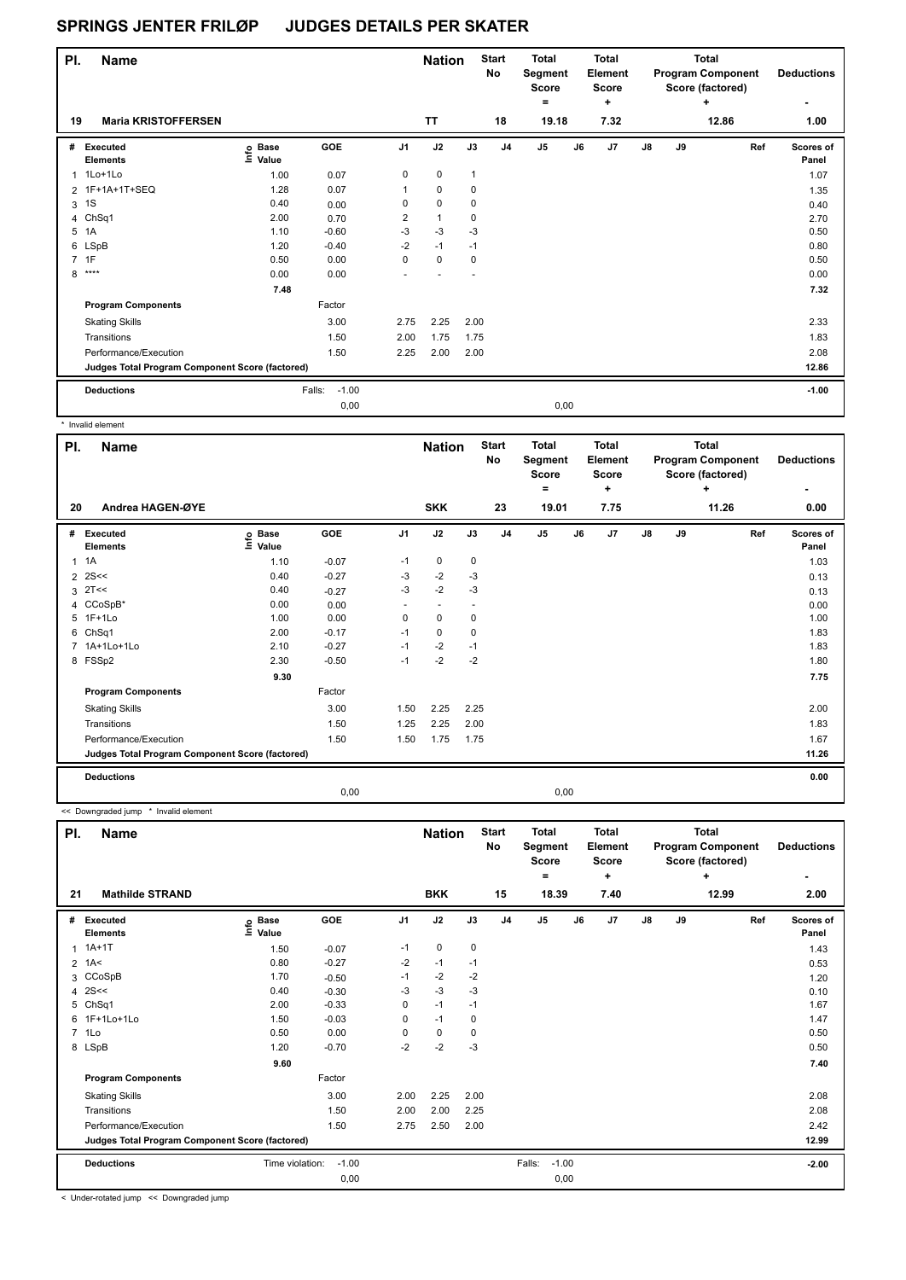| PI. | <b>Name</b>                                     |                            |                   |                | <b>Nation</b> |              | <b>Start</b><br>No | <b>Total</b><br>Segment<br><b>Score</b><br>$\equiv$ |      | <b>Total</b><br><b>Element</b><br><b>Score</b><br>٠ |               |    | Total<br><b>Program Component</b><br>Score (factored)<br>٠ | <b>Deductions</b><br>٠ |
|-----|-------------------------------------------------|----------------------------|-------------------|----------------|---------------|--------------|--------------------|-----------------------------------------------------|------|-----------------------------------------------------|---------------|----|------------------------------------------------------------|------------------------|
| 19  | <b>Maria KRISTOFFERSEN</b>                      |                            |                   |                | <b>TT</b>     |              | 18                 | 19.18                                               |      | 7.32                                                |               |    | 12.86                                                      | 1.00                   |
| #   | Executed<br><b>Elements</b>                     | e Base<br>E Value<br>Value | GOE               | J <sub>1</sub> | J2            | J3           | J <sub>4</sub>     | J5                                                  | J6   | J <sub>7</sub>                                      | $\mathsf{J}8$ | J9 | Ref                                                        | Scores of<br>Panel     |
| 1   | 1Lo+1Lo                                         | 1.00                       | 0.07              | 0              | $\pmb{0}$     | $\mathbf{1}$ |                    |                                                     |      |                                                     |               |    |                                                            | 1.07                   |
|     | 2 1F+1A+1T+SEQ                                  | 1.28                       | 0.07              | 1              | $\mathbf 0$   | 0            |                    |                                                     |      |                                                     |               |    |                                                            | 1.35                   |
| 3   | 1S                                              | 0.40                       | 0.00              | 0              | $\pmb{0}$     | 0            |                    |                                                     |      |                                                     |               |    |                                                            | 0.40                   |
|     | 4 ChSq1                                         | 2.00                       | 0.70              | 2              | 1             | 0            |                    |                                                     |      |                                                     |               |    |                                                            | 2.70                   |
| 5   | 1A                                              | 1.10                       | $-0.60$           | $-3$           | $-3$          | $-3$         |                    |                                                     |      |                                                     |               |    |                                                            | 0.50                   |
|     | 6 LSpB                                          | 1.20                       | $-0.40$           | $-2$           | $-1$          | $-1$         |                    |                                                     |      |                                                     |               |    |                                                            | 0.80                   |
|     | 7 1F                                            | 0.50                       | 0.00              | 0              | $\pmb{0}$     | 0            |                    |                                                     |      |                                                     |               |    |                                                            | 0.50                   |
| 8   | ****                                            | 0.00                       | 0.00              |                |               |              |                    |                                                     |      |                                                     |               |    |                                                            | 0.00                   |
|     |                                                 | 7.48                       |                   |                |               |              |                    |                                                     |      |                                                     |               |    |                                                            | 7.32                   |
|     | <b>Program Components</b>                       |                            | Factor            |                |               |              |                    |                                                     |      |                                                     |               |    |                                                            |                        |
|     | <b>Skating Skills</b>                           |                            | 3.00              | 2.75           | 2.25          | 2.00         |                    |                                                     |      |                                                     |               |    |                                                            | 2.33                   |
|     | Transitions                                     |                            | 1.50              | 2.00           | 1.75          | 1.75         |                    |                                                     |      |                                                     |               |    |                                                            | 1.83                   |
|     | Performance/Execution                           |                            | 1.50              | 2.25           | 2.00          | 2.00         |                    |                                                     |      |                                                     |               |    |                                                            | 2.08                   |
|     | Judges Total Program Component Score (factored) |                            |                   |                |               |              |                    |                                                     |      |                                                     |               |    |                                                            | 12.86                  |
|     | <b>Deductions</b>                               |                            | $-1.00$<br>Falls: |                |               |              |                    |                                                     |      |                                                     |               |    |                                                            | $-1.00$                |
|     |                                                 |                            | 0.00              |                |               |              |                    |                                                     | 0,00 |                                                     |               |    |                                                            |                        |

| * Invalid element                               |                       |            |                          |                          |      |                    |                                              |       |                                              |               |    |                                                                   |     |                    |
|-------------------------------------------------|-----------------------|------------|--------------------------|--------------------------|------|--------------------|----------------------------------------------|-------|----------------------------------------------|---------------|----|-------------------------------------------------------------------|-----|--------------------|
| PI.<br><b>Name</b>                              |                       |            |                          | <b>Nation</b>            |      | <b>Start</b><br>No | <b>Total</b><br>Segment<br><b>Score</b><br>٠ |       | <b>Total</b><br>Element<br><b>Score</b><br>÷ |               |    | <b>Total</b><br><b>Program Component</b><br>Score (factored)<br>٠ |     | <b>Deductions</b>  |
| Andrea HAGEN-ØYE<br>20                          |                       |            |                          | <b>SKK</b>               |      | 23                 |                                              | 19.01 | 7.75                                         |               |    | 11.26                                                             |     | 0.00               |
| # Executed<br><b>Elements</b>                   | o Base<br>Ξ.<br>Value | <b>GOE</b> | J <sub>1</sub>           | J2                       | J3   | J <sub>4</sub>     | J <sub>5</sub>                               | J6    | J7                                           | $\mathsf{J}8$ | J9 |                                                                   | Ref | Scores of<br>Panel |
| 1A<br>1                                         | 1.10                  | $-0.07$    | $-1$                     | 0                        | 0    |                    |                                              |       |                                              |               |    |                                                                   |     | 1.03               |
| $2$ 2S <<                                       | 0.40                  | $-0.27$    | $-3$                     | $-2$                     | $-3$ |                    |                                              |       |                                              |               |    |                                                                   |     | 0.13               |
| $3$ 2T <<                                       | 0.40                  | $-0.27$    | $-3$                     | $-2$                     | $-3$ |                    |                                              |       |                                              |               |    |                                                                   |     | 0.13               |
| 4 CCoSpB*                                       | 0.00                  | 0.00       | $\overline{\phantom{a}}$ | $\overline{\phantom{a}}$ |      |                    |                                              |       |                                              |               |    |                                                                   |     | 0.00               |
| 5 1F+1Lo                                        | 1.00                  | 0.00       | 0                        | $\mathbf 0$              | 0    |                    |                                              |       |                                              |               |    |                                                                   |     | 1.00               |
| 6 ChSq1                                         | 2.00                  | $-0.17$    | $-1$                     | $\Omega$                 | 0    |                    |                                              |       |                                              |               |    |                                                                   |     | 1.83               |
| 7 1A+1Lo+1Lo                                    | 2.10                  | $-0.27$    | $-1$                     | $-2$                     | $-1$ |                    |                                              |       |                                              |               |    |                                                                   |     | 1.83               |
| 8 FSSp2                                         | 2.30                  | $-0.50$    | $-1$                     | $-2$                     | $-2$ |                    |                                              |       |                                              |               |    |                                                                   |     | 1.80               |
|                                                 | 9.30                  |            |                          |                          |      |                    |                                              |       |                                              |               |    |                                                                   |     | 7.75               |
| <b>Program Components</b>                       |                       | Factor     |                          |                          |      |                    |                                              |       |                                              |               |    |                                                                   |     |                    |
| <b>Skating Skills</b>                           |                       | 3.00       | 1.50                     | 2.25                     | 2.25 |                    |                                              |       |                                              |               |    |                                                                   |     | 2.00               |
| Transitions                                     |                       | 1.50       | 1.25                     | 2.25                     | 2.00 |                    |                                              |       |                                              |               |    |                                                                   |     | 1.83               |
| Performance/Execution                           |                       | 1.50       | 1.50                     | 1.75                     | 1.75 |                    |                                              |       |                                              |               |    |                                                                   |     | 1.67               |
| Judges Total Program Component Score (factored) |                       |            |                          |                          |      |                    |                                              |       |                                              |               |    |                                                                   |     | 11.26              |
| <b>Deductions</b>                               |                       |            |                          |                          |      |                    |                                              |       |                                              |               |    |                                                                   |     | 0.00               |
|                                                 |                       | 0,00       |                          |                          |      |                    |                                              | 0,00  |                                              |               |    |                                                                   |     |                    |

<< Downgraded jump \* Invalid element

| PI.            | Name                                            |                            |            |                | <b>Nation</b> |             | <b>Start</b><br>No | Total<br>Segment<br><b>Score</b><br>۰ |         | <b>Total</b><br>Element<br><b>Score</b><br>٠ |               |    | <b>Total</b><br><b>Program Component</b><br>Score (factored)<br>÷ | <b>Deductions</b>         |
|----------------|-------------------------------------------------|----------------------------|------------|----------------|---------------|-------------|--------------------|---------------------------------------|---------|----------------------------------------------|---------------|----|-------------------------------------------------------------------|---------------------------|
| 21             | <b>Mathilde STRAND</b>                          |                            |            |                | <b>BKK</b>    |             | 15                 | 18.39                                 |         | 7.40                                         |               |    | 12.99                                                             | 2.00                      |
| #              | Executed<br><b>Elements</b>                     | e Base<br>E Value<br>Value | <b>GOE</b> | J <sub>1</sub> | J2            | J3          | J <sub>4</sub>     | J5                                    | J6      | J7                                           | $\mathsf{J}8$ | J9 | Ref                                                               | <b>Scores of</b><br>Panel |
| 1              | $1A+1T$                                         | 1.50                       | $-0.07$    | $-1$           | $\pmb{0}$     | $\mathbf 0$ |                    |                                       |         |                                              |               |    |                                                                   | 1.43                      |
|                | $2 \t1A<$                                       | 0.80                       | $-0.27$    | $-2$           | $-1$          | $-1$        |                    |                                       |         |                                              |               |    |                                                                   | 0.53                      |
| 3              | CCoSpB                                          | 1.70                       | $-0.50$    | $-1$           | $-2$          | $-2$        |                    |                                       |         |                                              |               |    |                                                                   | 1.20                      |
| 4              | 2S<<                                            | 0.40                       | $-0.30$    | $-3$           | $-3$          | $-3$        |                    |                                       |         |                                              |               |    |                                                                   | 0.10                      |
| 5              | ChSq1                                           | 2.00                       | $-0.33$    | 0              | $-1$          | $-1$        |                    |                                       |         |                                              |               |    |                                                                   | 1.67                      |
| 6              | 1F+1Lo+1Lo                                      | 1.50                       | $-0.03$    | 0              | $-1$          | 0           |                    |                                       |         |                                              |               |    |                                                                   | 1.47                      |
| $\overline{7}$ | 1Lo                                             | 0.50                       | 0.00       | 0              | $\pmb{0}$     | 0           |                    |                                       |         |                                              |               |    |                                                                   | 0.50                      |
|                | 8 LSpB                                          | 1.20                       | $-0.70$    | $-2$           | $-2$          | -3          |                    |                                       |         |                                              |               |    |                                                                   | 0.50                      |
|                |                                                 | 9.60                       |            |                |               |             |                    |                                       |         |                                              |               |    |                                                                   | 7.40                      |
|                | <b>Program Components</b>                       |                            | Factor     |                |               |             |                    |                                       |         |                                              |               |    |                                                                   |                           |
|                | <b>Skating Skills</b>                           |                            | 3.00       | 2.00           | 2.25          | 2.00        |                    |                                       |         |                                              |               |    |                                                                   | 2.08                      |
|                | Transitions                                     |                            | 1.50       | 2.00           | 2.00          | 2.25        |                    |                                       |         |                                              |               |    |                                                                   | 2.08                      |
|                | Performance/Execution                           |                            | 1.50       | 2.75           | 2.50          | 2.00        |                    |                                       |         |                                              |               |    |                                                                   | 2.42                      |
|                | Judges Total Program Component Score (factored) |                            |            |                |               |             |                    |                                       |         |                                              |               |    |                                                                   | 12.99                     |
|                | <b>Deductions</b>                               | Time violation:            | $-1.00$    |                |               |             |                    | Falls:                                | $-1.00$ |                                              |               |    |                                                                   | $-2.00$                   |
|                |                                                 |                            | 0,00       |                |               |             |                    |                                       | 0,00    |                                              |               |    |                                                                   |                           |

< Under-rotated jump << Downgraded jump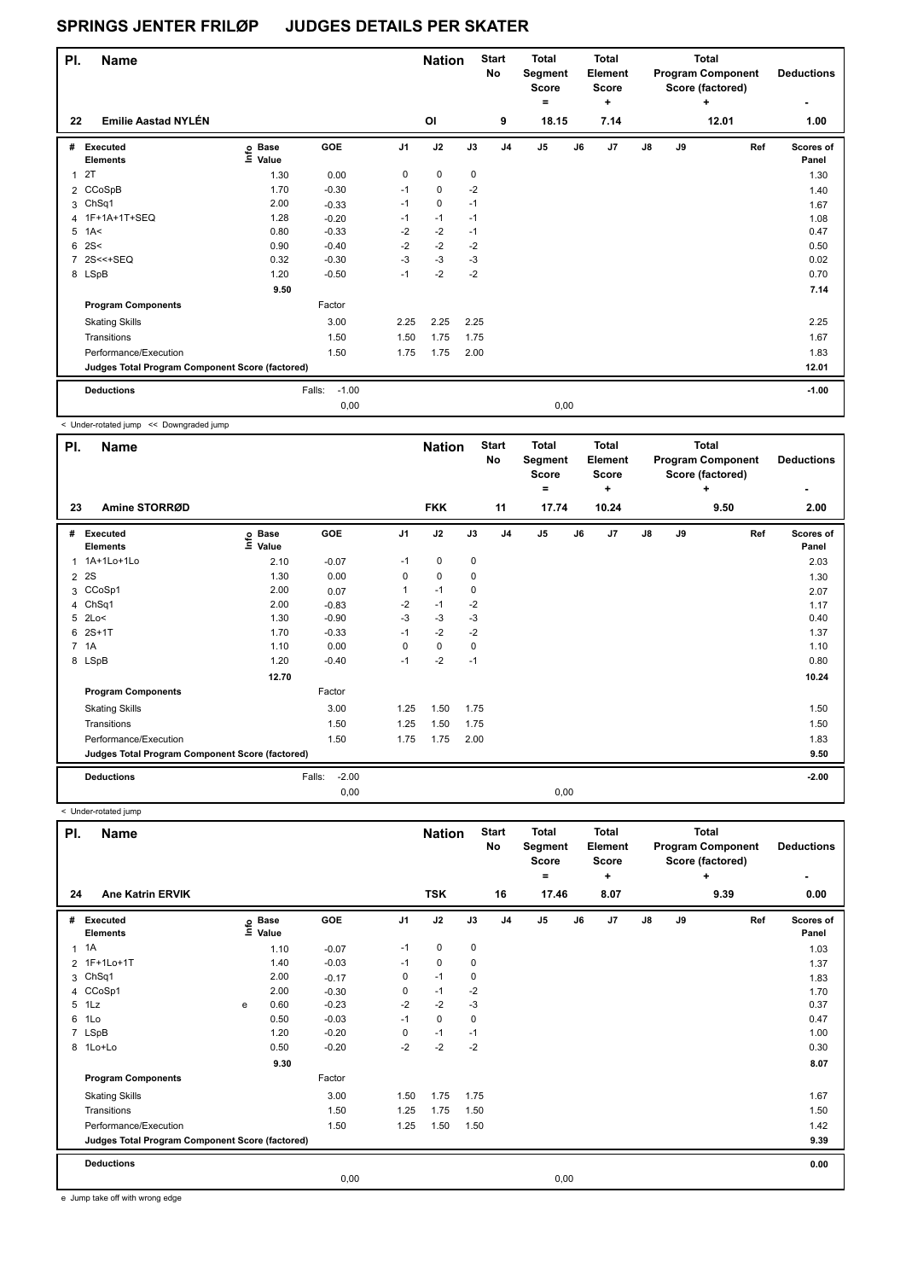| PI.            | <b>Name</b>                                     |                            |                   |                | <b>Nation</b> |             | <b>Start</b><br>No | <b>Total</b><br>Segment<br><b>Score</b> |      | <b>Total</b><br>Element<br><b>Score</b> |               |    | <b>Total</b><br><b>Program Component</b><br>Score (factored) | <b>Deductions</b>  |
|----------------|-------------------------------------------------|----------------------------|-------------------|----------------|---------------|-------------|--------------------|-----------------------------------------|------|-----------------------------------------|---------------|----|--------------------------------------------------------------|--------------------|
|                | <b>Emilie Aastad NYLÉN</b>                      |                            |                   |                | OI            |             |                    | $\equiv$                                |      | ٠                                       |               |    | ÷                                                            | ٠                  |
| 22             |                                                 |                            |                   |                |               |             | 9                  | 18.15                                   |      | 7.14                                    |               |    | 12.01                                                        | 1.00               |
|                | # Executed<br><b>Elements</b>                   | e Base<br>E Value<br>Value | GOE               | J <sub>1</sub> | J2            | J3          | J <sub>4</sub>     | J <sub>5</sub>                          | J6   | J <sub>7</sub>                          | $\mathsf{J}8$ | J9 | Ref                                                          | Scores of<br>Panel |
| 1              | 2T                                              | 1.30                       | 0.00              | $\mathbf 0$    | $\mathbf 0$   | $\mathbf 0$ |                    |                                         |      |                                         |               |    |                                                              | 1.30               |
|                | 2 CCoSpB                                        | 1.70                       | $-0.30$           | $-1$           | $\mathbf 0$   | $-2$        |                    |                                         |      |                                         |               |    |                                                              | 1.40               |
|                | 3 ChSq1                                         | 2.00                       | $-0.33$           | $-1$           | 0             | $-1$        |                    |                                         |      |                                         |               |    |                                                              | 1.67               |
|                | 4 1F+1A+1T+SEQ                                  | 1.28                       | $-0.20$           | $-1$           | $-1$          | $-1$        |                    |                                         |      |                                         |               |    |                                                              | 1.08               |
| 5              | 1A<                                             | 0.80                       | $-0.33$           | $-2$           | $-2$          | $-1$        |                    |                                         |      |                                         |               |    |                                                              | 0.47               |
|                | $6 \, 2S <$                                     | 0.90                       | $-0.40$           | $-2$           | $-2$          | $-2$        |                    |                                         |      |                                         |               |    |                                                              | 0.50               |
| $\overline{7}$ | $2S < +SEQ$                                     | 0.32                       | $-0.30$           | $-3$           | $-3$          | $-3$        |                    |                                         |      |                                         |               |    |                                                              | 0.02               |
|                | 8 LSpB                                          | 1.20                       | $-0.50$           | $-1$           | $-2$          | $-2$        |                    |                                         |      |                                         |               |    |                                                              | 0.70               |
|                |                                                 | 9.50                       |                   |                |               |             |                    |                                         |      |                                         |               |    |                                                              | 7.14               |
|                | <b>Program Components</b>                       |                            | Factor            |                |               |             |                    |                                         |      |                                         |               |    |                                                              |                    |
|                | <b>Skating Skills</b>                           |                            | 3.00              | 2.25           | 2.25          | 2.25        |                    |                                         |      |                                         |               |    |                                                              | 2.25               |
|                | Transitions                                     |                            | 1.50              | 1.50           | 1.75          | 1.75        |                    |                                         |      |                                         |               |    |                                                              | 1.67               |
|                | Performance/Execution                           |                            | 1.50              | 1.75           | 1.75          | 2.00        |                    |                                         |      |                                         |               |    |                                                              | 1.83               |
|                | Judges Total Program Component Score (factored) |                            |                   |                |               |             |                    |                                         |      |                                         |               |    |                                                              | 12.01              |
|                | <b>Deductions</b>                               |                            | $-1.00$<br>Falls: |                |               |             |                    |                                         |      |                                         |               |    |                                                              | $-1.00$            |
|                |                                                 |                            | 0.00              |                |               |             |                    |                                         | 0.00 |                                         |               |    |                                                              |                    |

< Under-rotated jump << Downgraded jump

| PI.            | <b>Name</b>                                     |                              |                   |                | <b>Nation</b> |      | <b>Start</b><br>No | <b>Total</b><br>Segment<br><b>Score</b><br>٠ |      | <b>Total</b><br>Element<br><b>Score</b><br>٠ |               |    | <b>Total</b><br><b>Program Component</b><br>Score (factored)<br>٠ | <b>Deductions</b>  |
|----------------|-------------------------------------------------|------------------------------|-------------------|----------------|---------------|------|--------------------|----------------------------------------------|------|----------------------------------------------|---------------|----|-------------------------------------------------------------------|--------------------|
| 23             | Amine STORRØD                                   |                              |                   |                | <b>FKK</b>    |      | 11                 | 17.74                                        |      | 10.24                                        |               |    | 9.50                                                              | 2.00               |
| #              | Executed<br><b>Elements</b>                     | <b>Base</b><br>Info<br>Value | <b>GOE</b>        | J <sub>1</sub> | J2            | J3   | J <sub>4</sub>     | J <sub>5</sub>                               | J6   | J7                                           | $\mathsf{J}8$ | J9 | Ref                                                               | Scores of<br>Panel |
| 1              | 1A+1Lo+1Lo                                      | 2.10                         | $-0.07$           | $-1$           | $\mathbf 0$   | 0    |                    |                                              |      |                                              |               |    |                                                                   | 2.03               |
| 2              | 2S                                              | 1.30                         | 0.00              | 0              | $\mathbf 0$   | 0    |                    |                                              |      |                                              |               |    |                                                                   | 1.30               |
| 3              | CCoSp1                                          | 2.00                         | 0.07              | 1              | $-1$          | 0    |                    |                                              |      |                                              |               |    |                                                                   | 2.07               |
| 4              | ChSq1                                           | 2.00                         | $-0.83$           | $-2$           | $-1$          | $-2$ |                    |                                              |      |                                              |               |    |                                                                   | 1.17               |
| 5              | 2Lo<                                            | 1.30                         | $-0.90$           | -3             | $-3$          | $-3$ |                    |                                              |      |                                              |               |    |                                                                   | 0.40               |
| 6              | $2S+1T$                                         | 1.70                         | $-0.33$           | $-1$           | $-2$          | $-2$ |                    |                                              |      |                                              |               |    |                                                                   | 1.37               |
| $\overline{7}$ | 1A                                              | 1.10                         | 0.00              | 0              | $\mathbf 0$   | 0    |                    |                                              |      |                                              |               |    |                                                                   | 1.10               |
|                | 8 LSpB                                          | 1.20                         | $-0.40$           | $-1$           | $-2$          | $-1$ |                    |                                              |      |                                              |               |    |                                                                   | 0.80               |
|                |                                                 | 12.70                        |                   |                |               |      |                    |                                              |      |                                              |               |    |                                                                   | 10.24              |
|                | <b>Program Components</b>                       |                              | Factor            |                |               |      |                    |                                              |      |                                              |               |    |                                                                   |                    |
|                | <b>Skating Skills</b>                           |                              | 3.00              | 1.25           | 1.50          | 1.75 |                    |                                              |      |                                              |               |    |                                                                   | 1.50               |
|                | Transitions                                     |                              | 1.50              | 1.25           | 1.50          | 1.75 |                    |                                              |      |                                              |               |    |                                                                   | 1.50               |
|                | Performance/Execution                           |                              | 1.50              | 1.75           | 1.75          | 2.00 |                    |                                              |      |                                              |               |    |                                                                   | 1.83               |
|                | Judges Total Program Component Score (factored) |                              |                   |                |               |      |                    |                                              |      |                                              |               |    |                                                                   | 9.50               |
|                | <b>Deductions</b>                               |                              | $-2.00$<br>Falls: |                |               |      |                    |                                              |      |                                              |               |    |                                                                   | $-2.00$            |
|                |                                                 |                              | 0,00              |                |               |      |                    |                                              | 0,00 |                                              |               |    |                                                                   |                    |

**Name Deductions - Nation** Start Total **Segment Score = Total Element Score + Total Program Component Score (factored) + PI.** Name Start Controllering Start Controllering Start Controllering Start Controllering Start **No # Executed Elements Base Value GOE J1 J2 J3 J4 J5 J6 J7 J8 J9 Scores of Panel** 1 1A 1 1.10 -0.07 -1 0 0 **Ref**  1A 1.03 **Info 24 Ane Katrin ERVIK TSK 16 17.46 8.07 9.39 0.00** 2 1F+1Lo+1T 1.40 -0.03 -1 0 0 1.37 3 ChSq1 2.00 -0.17 0 -1 0 1.83 4 CCoSp1 2.00 -0.30 0 -1 -2 1.70 5 1Lz e 0.60 -0.23 -2 -2 -3 0.37 6 1Lo 0.50 -0.03 -1 0 0 0.47 7 LSpB 1.20 -0.20 0 -1 -1 1.00 8 1Lo+Lo 0.50 -0.20 -2 -2 -2 0.30  **9.30 8.07 Program Components**  Skating Skills 1.75 1.75 1.75 1.75 1.75 1.75 1.75 1.50 1.50 1.75 1.50 1.75 1.50 1.75 1.50 1.75 1.50 1.75 1.50 Factor 3.00 1.50 1.75 1.75 1.75 1.75 1.75 1.87 and 1.67 and 1.67 and 1.67 and 1.67 and 1.67 and 1.67 and 1.67 and 1.67 Transitions 1.50 1.25 1.75 1.50 1.50 Performance/Execution 1.42 1.50 1.50 1.25 1.50 1.50 1.50 1.50 1.42 1.42 Judges Total Program Component Score (factored) **Deductions 0.00 Judges Total Program Component Score (factored) 9.39** 0,00 0,00

e Jump take off with wrong edge

< Under-rotated jump